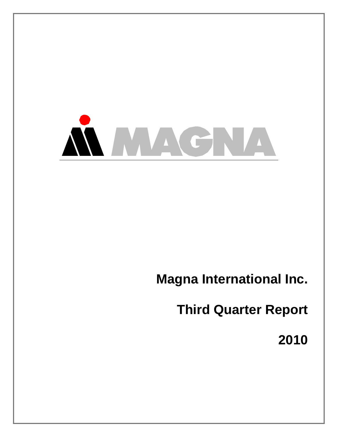

# **Magna International Inc.**

**Third Quarter Report** 

**2010**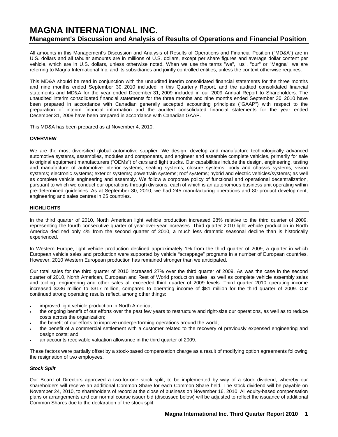# **MAGNA INTERNATIONAL INC. Management's Discussion and Analysis of Results of Operations and Financial Position**

All amounts in this Management's Discussion and Analysis of Results of Operations and Financial Position ("MD&A") are in U.S. dollars and all tabular amounts are in millions of U.S. dollars, except per share figures and average dollar content per vehicle, which are in U.S. dollars, unless otherwise noted. When we use the terms "we", "us", "our" or "Magna", we are referring to Magna International Inc. and its subsidiaries and jointly controlled entities, unless the context otherwise requires.

This MD&A should be read in conjunction with the unaudited interim consolidated financial statements for the three months and nine months ended September 30, 2010 included in this Quarterly Report, and the audited consolidated financial statements and MD&A for the year ended December 31, 2009 included in our 2009 Annual Report to Shareholders. The unaudited interim consolidated financial statements for the three months and nine months ended September 30, 2010 have been prepared in accordance with Canadian generally accepted accounting principles ("GAAP") with respect to the preparation of interim financial information and the audited consolidated financial statements for the year ended December 31, 2009 have been prepared in accordance with Canadian GAAP.

This MD&A has been prepared as at November 4, 2010.

### **OVERVIEW**

We are the most diversified global automotive supplier. We design, develop and manufacture technologically advanced automotive systems, assemblies, modules and components, and engineer and assemble complete vehicles, primarily for sale to original equipment manufacturers ("OEMs") of cars and light trucks. Our capabilities include the design, engineering, testing and manufacture of automotive interior systems; seating systems; closure systems; body and chassis systems; vision systems; electronic systems; exterior systems; powertrain systems; roof systems; hybrid and electric vehicles/systems; as well as complete vehicle engineering and assembly. We follow a corporate policy of functional and operational decentralization, pursuant to which we conduct our operations through divisions, each of which is an autonomous business unit operating within pre-determined guidelines. As at September 30, 2010, we had 245 manufacturing operations and 80 product development, engineering and sales centres in 25 countries.

### **HIGHLIGHTS**

In the third quarter of 2010, North American light vehicle production increased 28% relative to the third quarter of 2009, representing the fourth consecutive quarter of year-over-year increases. Third quarter 2010 light vehicle production in North America declined only 4% from the second quarter of 2010, a much less dramatic seasonal decline than is historically experienced.

In Western Europe, light vehicle production declined approximately 1% from the third quarter of 2009, a quarter in which European vehicle sales and production were supported by vehicle "scrappage" programs in a number of European countries. However, 2010 Western European production has remained stronger than we anticipated.

Our total sales for the third quarter of 2010 increased 27% over the third quarter of 2009. As was the case in the second quarter of 2010, North American, European and Rest of World production sales, as well as complete vehicle assembly sales and tooling, engineering and other sales all exceeded third quarter of 2009 levels. Third quarter 2010 operating income increased \$236 million to \$317 million, compared to operating income of \$81 million for the third quarter of 2009. Our continued strong operating results reflect, among other things:

- improved light vehicle production in North America;
- the ongoing benefit of our efforts over the past few years to restructure and right-size our operations, as well as to reduce costs across the organization;
- the benefit of our efforts to improve underperforming operations around the world;
- the benefit of a commercial settlement with a customer related to the recovery of previously expensed engineering and design costs; and
- an accounts receivable valuation allowance in the third quarter of 2009.

These factors were partially offset by a stock-based compensation charge as a result of modifying option agreements following the resignation of two employees.

# *Stock Split*

Our Board of Directors approved a two-for-one stock split, to be implemented by way of a stock dividend, whereby our shareholders will receive an additional Common Share for each Common Share held. The stock dividend will be payable on November 24, 2010, to shareholders of record at the close of business on November 16, 2010. All equity-based compensation plans or arrangements and our normal course issuer bid (discussed below) will be adjusted to reflect the issuance of additional Common Shares due to the declaration of the stock split.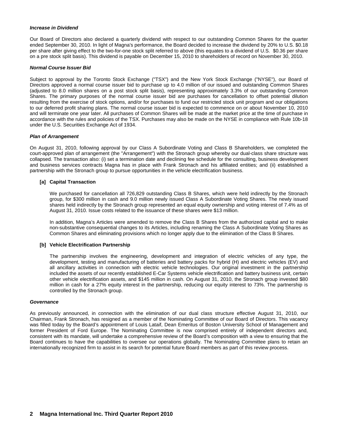### *Increase in Dividend*

Our Board of Directors also declared a quarterly dividend with respect to our outstanding Common Shares for the quarter ended September 30, 2010. In light of Magna's performance, the Board decided to increase the dividend by 20% to U.S. \$0.18 per share after giving effect to the two-for-one stock split referred to above (this equates to a dividend of U.S. \$0.36 per share on a pre stock split basis). This dividend is payable on December 15, 2010 to shareholders of record on November 30, 2010.

### *Normal Course Issuer Bid*

Subject to approval by the Toronto Stock Exchange ("TSX") and the New York Stock Exchange ("NYSE"), our Board of Directors approved a normal course issuer bid to purchase up to 4.0 million of our issued and outstanding Common Shares (adjusted to 8.0 million shares on a post stock split basis), representing approximately 3.3% of our outstanding Common Shares. The primary purposes of the normal course issuer bid are purchases for cancellation to offset potential dilution resulting from the exercise of stock options, and/or for purchases to fund our restricted stock unit program and our obligations to our deferred profit sharing plans. The normal course issuer bid is expected to commence on or about November 10, 2010 and will terminate one year later. All purchases of Common Shares will be made at the market price at the time of purchase in accordance with the rules and policies of the TSX. Purchases may also be made on the NYSE in compliance with Rule 10b-18 under the U.S. Securities Exchange Act of 1934.

#### *Plan of Arrangement*

On August 31, 2010, following approval by our Class A Subordinate Voting and Class B Shareholders, we completed the court-approved plan of arrangement (the "Arrangement") with the Stronach group whereby our dual-class share structure was collapsed. The transaction also: (i) set a termination date and declining fee schedule for the consulting, business development and business services contracts Magna has in place with Frank Stronach and his affiliated entities; and (ii) established a partnership with the Stronach group to pursue opportunities in the vehicle electrification business.

### **[a] Capital Transaction**

We purchased for cancellation all 726,829 outstanding Class B Shares, which were held indirectly by the Stronach group, for \$300 million in cash and 9.0 million newly issued Class A Subordinate Voting Shares. The newly issued shares held indirectly by the Stronach group represented an equal equity ownership and voting interest of 7.4% as of August 31, 2010. Issue costs related to the issuance of these shares were \$13 million.

In addition, Magna's Articles were amended to remove the Class B Shares from the authorized capital and to make non-substantive consequential changes to its Articles, including renaming the Class A Subordinate Voting Shares as Common Shares and eliminating provisions which no longer apply due to the elimination of the Class B Shares.

### **[b] Vehicle Electrification Partnership**

The partnership involves the engineering, development and integration of electric vehicles of any type, the development, testing and manufacturing of batteries and battery packs for hybrid (H) and electric vehicles (EV) and all ancillary activities in connection with electric vehicle technologies. Our original investment in the partnership included the assets of our recently established E-Car Systems vehicle electrification and battery business unit, certain other vehicle electrification assets, and \$145 million in cash. On August 31, 2010, the Stronach group invested \$80 million in cash for a 27% equity interest in the partnership, reducing our equity interest to 73%. The partnership is controlled by the Stronach group.

### *Governance*

As previously announced, in connection with the elimination of our dual class structure effective August 31, 2010, our Chairman, Frank Stronach, has resigned as a member of the Nominating Committee of our Board of Directors. This vacancy was filled today by the Board's appointment of Louis Lataif, Dean Emeritus of Boston University School of Management and former President of Ford Europe. The Nominating Committee is now comprised entirely of independent directors and, consistent with its mandate, will undertake a comprehensive review of the Board's composition with a view to ensuring that the Board continues to have the capabilities to oversee our operations globally. The Nominating Committee plans to retain an internationally recognized firm to assist in its search for potential future Board members as part of this review process.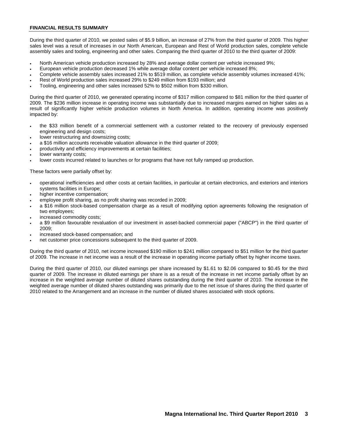### **FINANCIAL RESULTS SUMMARY**

During the third quarter of 2010, we posted sales of \$5.9 billion, an increase of 27% from the third quarter of 2009. This higher sales level was a result of increases in our North American, European and Rest of World production sales, complete vehicle assembly sales and tooling, engineering and other sales. Comparing the third quarter of 2010 to the third quarter of 2009:

- North American vehicle production increased by 28% and average dollar content per vehicle increased 9%;
- European vehicle production decreased 1% while average dollar content per vehicle increased 8%;
- Complete vehicle assembly sales increased 21% to \$519 million, as complete vehicle assembly volumes increased 41%;
- Rest of World production sales increased 29% to \$249 million from \$193 million; and
- Tooling, engineering and other sales increased 52% to \$502 million from \$330 million.

During the third quarter of 2010, we generated operating income of \$317 million compared to \$81 million for the third quarter of 2009. The \$236 million increase in operating income was substantially due to increased margins earned on higher sales as a result of significantly higher vehicle production volumes in North America. In addition, operating income was positively impacted by:

- the \$33 million benefit of a commercial settlement with a customer related to the recovery of previously expensed engineering and design costs;
- lower restructuring and downsizing costs;
- a \$16 million accounts receivable valuation allowance in the third quarter of 2009;
- productivity and efficiency improvements at certain facilities;
- lower warranty costs;
- lower costs incurred related to launches or for programs that have not fully ramped up production.

These factors were partially offset by:

- operational inefficiencies and other costs at certain facilities, in particular at certain electronics, and exteriors and interiors systems facilities in Europe;
- higher incentive compensation;
- employee profit sharing, as no profit sharing was recorded in 2009;
- a \$16 million stock-based compensation charge as a result of modifying option agreements following the resignation of two employees;
- increased commodity costs:
- a \$9 million favourable revaluation of our investment in asset-backed commercial paper ("ABCP") in the third quarter of 2009;
- increased stock-based compensation; and
- net customer price concessions subsequent to the third quarter of 2009.

During the third quarter of 2010, net income increased \$190 million to \$241 million compared to \$51 million for the third quarter of 2009. The increase in net income was a result of the increase in operating income partially offset by higher income taxes.

During the third quarter of 2010, our diluted earnings per share increased by \$1.61 to \$2.06 compared to \$0.45 for the third quarter of 2009. The increase in diluted earnings per share is as a result of the increase in net income partially offset by an increase in the weighted average number of diluted shares outstanding during the third quarter of 2010. The increase in the weighted average number of diluted shares outstanding was primarily due to the net issue of shares during the third quarter of 2010 related to the Arrangement and an increase in the number of diluted shares associated with stock options.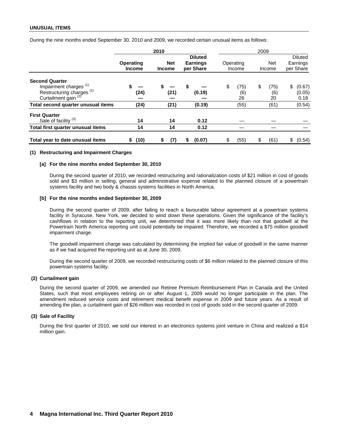### **UNUSUAL ITEMS**

During the nine months ended September 30, 2010 and 2009, we recorded certain unusual items as follows:

|                                                                                                                                       |                            | 2010                        |                                                |                         | 2009                    |                                         |
|---------------------------------------------------------------------------------------------------------------------------------------|----------------------------|-----------------------------|------------------------------------------------|-------------------------|-------------------------|-----------------------------------------|
|                                                                                                                                       | Operating<br><b>Income</b> | <b>Net</b><br><b>Income</b> | <b>Diluted</b><br><b>Earnings</b><br>per Share | Operating<br>Income     | <b>Net</b><br>Income    | <b>Diluted</b><br>Earnings<br>per Share |
| <b>Second Quarter</b><br>Impairment charges <sup>(1)</sup><br>Restructuring charges <sup>(1)</sup><br>Curtailment gain <sup>(2)</sup> | (24)                       | (21)                        | \$<br>(0.19)                                   | (75)<br>\$<br>(6)<br>26 | \$<br>(75)<br>(6)<br>20 | \$<br>(0.67)<br>(0.05)<br>0.18          |
| Total second quarter unusual items                                                                                                    | (24)                       | (21)                        | (0.19)                                         | (55)                    | (61)                    | (0.54)                                  |
| <b>First Quarter</b><br>Sale of facility <sup>(3)</sup>                                                                               | 14                         | 14                          | 0.12                                           |                         |                         |                                         |
| Total first quarter unusual items                                                                                                     | 14                         | 14                          | 0.12                                           |                         |                         |                                         |
| Total year to date unusual items                                                                                                      | (10)<br>S.                 | (7)<br>S                    | (0.07)                                         | (55)<br>\$              | (61)                    | S<br>(0.54)                             |

#### **(1) Restructuring and Impairment Charges**

#### **[a] For the nine months ended September 30, 2010**

During the second quarter of 2010, we recorded restructuring and rationalization costs of \$21 million in cost of goods sold and \$3 million in selling, general and administrative expense related to the planned closure of a powertrain systems facility and two body & chassis systems facilities in North America.

#### **[b] For the nine months ended September 30, 2009**

During the second quarter of 2009, after failing to reach a favourable labour agreement at a powertrain systems facility in Syracuse, New York, we decided to wind down these operations. Given the significance of the facility's cashflows in relation to the reporting unit, we determined that it was more likely than not that goodwill at the Powertrain North America reporting unit could potentially be impaired. Therefore, we recorded a \$75 million goodwill impairment charge.

The goodwill impairment charge was calculated by determining the implied fair value of goodwill in the same manner as if we had acquired the reporting unit as at June 30, 2009.

During the second quarter of 2009, we recorded restructuring costs of \$6 million related to the planned closure of this powertrain systems facility.

### **(2) Curtailment gain**

During the second quarter of 2009, we amended our Retiree Premium Reimbursement Plan in Canada and the United States, such that most employees retiring on or after August 1, 2009 would no longer participate in the plan. The amendment reduced service costs and retirement medical benefit expense in 2009 and future years. As a result of amending the plan, a curtailment gain of \$26 million was recorded in cost of goods sold in the second quarter of 2009.

### **(3) Sale of Facility**

During the first quarter of 2010, we sold our interest in an electronics systems joint venture in China and realized a \$14 million gain.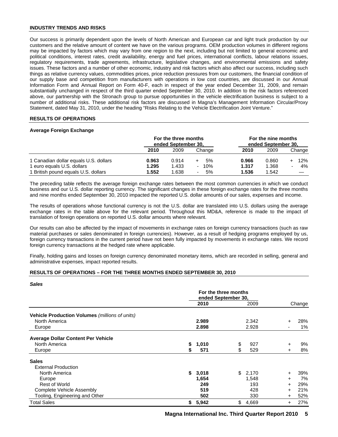### **INDUSTRY TRENDS AND RISKS**

Our success is primarily dependent upon the levels of North American and European car and light truck production by our customers and the relative amount of content we have on the various programs. OEM production volumes in different regions may be impacted by factors which may vary from one region to the next, including but not limited to general economic and political conditions, interest rates, credit availability, energy and fuel prices, international conflicts, labour relations issues, regulatory requirements, trade agreements, infrastructure, legislative changes, and environmental emissions and safety issues. These factors and a number of other economic, industry and risk factors which also affect our success, including such things as relative currency values, commodities prices, price reduction pressures from our customers, the financial condition of our supply base and competition from manufacturers with operations in low cost countries, are discussed in our Annual Information Form and Annual Report on Form 40-F, each in respect of the year ended December 31, 2009, and remain substantially unchanged in respect of the third quarter ended September 30, 2010. In addition to the risk factors referenced above, our partnership with the Stronach group to pursue opportunities in the vehicle electrification business is subject to a number of additional risks. These additional risk factors are discussed in Magna's Management Information Circular/Proxy Statement, dated May 31, 2010, under the heading "Risks Relating to the Vehicle Electrification Joint Venture."

# **RESULTS OF OPERATIONS**

### **Average Foreign Exchange**

|                                       | For the three months<br>ended September 30, |       |                                 | For the nine months<br>ended September 30. |       |                                   |  |
|---------------------------------------|---------------------------------------------|-------|---------------------------------|--------------------------------------------|-------|-----------------------------------|--|
|                                       | 2010                                        | 2009  | Change                          | 2010                                       | 2009  | Change                            |  |
| 1 Canadian dollar equals U.S. dollars | 0.963                                       | 0.914 | 5%                              | 0.966                                      | 0.860 | 12%                               |  |
| 1 euro equals U.S. dollars            | 1.295                                       | 1.433 | 10%<br>$\overline{\phantom{0}}$ | 1.317                                      | 1.368 | $4\%$<br>$\overline{\phantom{0}}$ |  |
| 1 British pound equals U.S. dollars   | 1.552                                       | 1.638 | 5%<br>-                         | 1.536                                      | 1.542 |                                   |  |

The preceding table reflects the average foreign exchange rates between the most common currencies in which we conduct business and our U.S. dollar reporting currency. The significant changes in these foreign exchange rates for the three months and nine months ended September 30, 2010 impacted the reported U.S. dollar amounts of our sales, expenses and income.

The results of operations whose functional currency is not the U.S. dollar are translated into U.S. dollars using the average exchange rates in the table above for the relevant period. Throughout this MD&A, reference is made to the impact of translation of foreign operations on reported U.S. dollar amounts where relevant.

Our results can also be affected by the impact of movements in exchange rates on foreign currency transactions (such as raw material purchases or sales denominated in foreign currencies). However, as a result of hedging programs employed by us, foreign currency transactions in the current period have not been fully impacted by movements in exchange rates. We record foreign currency transactions at the hedged rate where applicable.

Finally, holding gains and losses on foreign currency denominated monetary items, which are recorded in selling, general and administrative expenses, impact reported results.

# **RESULTS OF OPERATIONS – FOR THE THREE MONTHS ENDED SEPTEMBER 30, 2010**

### *Sales*

|                                                |    | For the three months<br>ended September 30, |    |       |           |        |
|------------------------------------------------|----|---------------------------------------------|----|-------|-----------|--------|
|                                                |    | 2010                                        |    | 2009  |           | Change |
| Vehicle Production Volumes (millions of units) |    |                                             |    |       |           |        |
| North America                                  |    | 2.989                                       |    | 2.342 | $\ddot{}$ | 28%    |
| Europe                                         |    | 2.898                                       |    | 2.928 |           | 1%     |
| <b>Average Dollar Content Per Vehicle</b>      |    |                                             |    |       |           |        |
| North America                                  | \$ | 1,010                                       | \$ | 927   | $\ddot{}$ | 9%     |
| Europe                                         | \$ | 571                                         | \$ | 529   | $\div$    | 8%     |
| <b>Sales</b>                                   |    |                                             |    |       |           |        |
| <b>External Production</b>                     |    |                                             |    |       |           |        |
| North America                                  | S. | 3,018                                       | \$ | 2,170 | $\ddot{}$ | 39%    |
| Europe                                         |    | 1,654                                       |    | 1,548 | $\ddot{}$ | 7%     |
| <b>Rest of World</b>                           |    | 249                                         |    | 193   | $\ddot{}$ | 29%    |
| Complete Vehicle Assembly                      |    | 519                                         |    | 428   | $\ddot{}$ | 21%    |
| Tooling, Engineering and Other                 |    | 502                                         |    | 330   | $\pm$     | 52%    |
| Total Sales                                    | \$ | 5,942                                       | \$ | 4,669 | $\ddot{}$ | 27%    |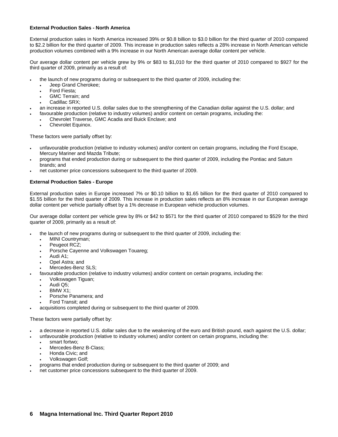### **External Production Sales - North America**

External production sales in North America increased 39% or \$0.8 billion to \$3.0 billion for the third quarter of 2010 compared to \$2.2 billion for the third quarter of 2009. This increase in production sales reflects a 28% increase in North American vehicle production volumes combined with a 9% increase in our North American average dollar content per vehicle.

Our average dollar content per vehicle grew by 9% or \$83 to \$1,010 for the third quarter of 2010 compared to \$927 for the third quarter of 2009, primarily as a result of:

- the launch of new programs during or subsequent to the third quarter of 2009, including the:
	- Jeep Grand Cherokee;
	- Ford Fiesta;
	- GMC Terrain: and
	- Cadillac SRX:
- an increase in reported U.S. dollar sales due to the strengthening of the Canadian dollar against the U.S. dollar; and
- favourable production (relative to industry volumes) and/or content on certain programs, including the:
	- Chevrolet Traverse, GMC Acadia and Buick Enclave; and
		- Chevrolet Equinox.

These factors were partially offset by:

- unfavourable production (relative to industry volumes) and/or content on certain programs, including the Ford Escape, Mercury Mariner and Mazda Tribute;
- programs that ended production during or subsequent to the third quarter of 2009, including the Pontiac and Saturn brands; and
- net customer price concessions subsequent to the third quarter of 2009.

### **External Production Sales - Europe**

External production sales in Europe increased 7% or \$0.10 billion to \$1.65 billion for the third quarter of 2010 compared to \$1.55 billion for the third quarter of 2009. This increase in production sales reflects an 8% increase in our European average dollar content per vehicle partially offset by a 1% decrease in European vehicle production volumes.

Our average dollar content per vehicle grew by 8% or \$42 to \$571 for the third quarter of 2010 compared to \$529 for the third quarter of 2009, primarily as a result of:

- the launch of new programs during or subsequent to the third quarter of 2009, including the:
	- MINI Countryman;
	- Peugeot RCZ:
	- Porsche Cayenne and Volkswagen Touareg;
	- Audi A1;
	- Opel Astra; and
	- Mercedes-Benz SLS;
	- favourable production (relative to industry volumes) and/or content on certain programs, including the:
		- Volkswagen Tiguan;
		- Audi Q5;
		- BMW X1;
		- Porsche Panamera; and
		- Ford Transit; and
- acquisitions completed during or subsequent to the third quarter of 2009.

These factors were partially offset by:

- a decrease in reported U.S. dollar sales due to the weakening of the euro and British pound, each against the U.S. dollar;
- unfavourable production (relative to industry volumes) and/or content on certain programs, including the:
	- smart fortwo;
		- Mercedes-Benz B-Class;
		- Honda Civic; and
		- Volkswagen Golf;
- programs that ended production during or subsequent to the third quarter of 2009; and
- net customer price concessions subsequent to the third quarter of 2009.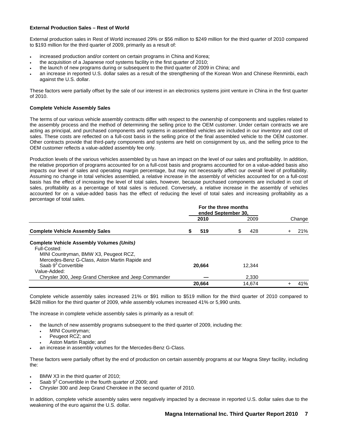### **External Production Sales – Rest of World**

External production sales in Rest of World increased 29% or \$56 million to \$249 million for the third quarter of 2010 compared to \$193 million for the third quarter of 2009, primarily as a result of:

- increased production and/or content on certain programs in China and Korea;
- the acquisition of a Japanese roof systems facility in the first quarter of 2010;
- the launch of new programs during or subsequent to the third quarter of 2009 in China; and
- an increase in reported U.S. dollar sales as a result of the strengthening of the Korean Won and Chinese Renminbi, each against the U.S. dollar.

These factors were partially offset by the sale of our interest in an electronics systems joint venture in China in the first quarter of 2010.

### **Complete Vehicle Assembly Sales**

The terms of our various vehicle assembly contracts differ with respect to the ownership of components and supplies related to the assembly process and the method of determining the selling price to the OEM customer. Under certain contracts we are acting as principal, and purchased components and systems in assembled vehicles are included in our inventory and cost of sales. These costs are reflected on a full-cost basis in the selling price of the final assembled vehicle to the OEM customer. Other contracts provide that third-party components and systems are held on consignment by us, and the selling price to the OEM customer reflects a value-added assembly fee only.

Production levels of the various vehicles assembled by us have an impact on the level of our sales and profitability. In addition, the relative proportion of programs accounted for on a full-cost basis and programs accounted for on a value-added basis also impacts our level of sales and operating margin percentage, but may not necessarily affect our overall level of profitability. Assuming no change in total vehicles assembled, a relative increase in the assembly of vehicles accounted for on a full-cost basis has the effect of increasing the level of total sales, however, because purchased components are included in cost of sales, profitability as a percentage of total sales is reduced. Conversely, a relative increase in the assembly of vehicles accounted for on a value-added basis has the effect of reducing the level of total sales and increasing profitability as a percentage of total sales.

|                                                      |   | For the three months<br>ended September 30, |    |        |        |
|------------------------------------------------------|---|---------------------------------------------|----|--------|--------|
|                                                      |   | 2010                                        |    | 2009   | Change |
| <b>Complete Vehicle Assembly Sales</b>               | S | 519                                         | \$ | 428    | 21%    |
| <b>Complete Vehicle Assembly Volumes (Units)</b>     |   |                                             |    |        |        |
| Full-Costed:                                         |   |                                             |    |        |        |
| MINI Countryman, BMW X3, Peugeot RCZ,                |   |                                             |    |        |        |
| Mercedes-Benz G-Class, Aston Martin Rapide and       |   |                                             |    |        |        |
| Saab 9 <sup>3</sup> Convertible                      |   | 20.664                                      |    | 12.344 |        |
| Value-Added:                                         |   |                                             |    |        |        |
| Chrysler 300, Jeep Grand Cherokee and Jeep Commander |   |                                             |    | 2.330  |        |
|                                                      |   | 20.664                                      |    | 14.674 | 41%    |

Complete vehicle assembly sales increased 21% or \$91 million to \$519 million for the third quarter of 2010 compared to \$428 million for the third quarter of 2009, while assembly volumes increased 41% or 5,990 units.

The increase in complete vehicle assembly sales is primarily as a result of:

- the launch of new assembly programs subsequent to the third quarter of 2009, including the:
	- MINI Countryman;
	- Peugeot RCZ; and
	- Aston Martin Rapide; and
- an increase in assembly volumes for the Mercedes-Benz G-Class.

These factors were partially offset by the end of production on certain assembly programs at our Magna Steyr facility, including the:

- BMW X3 in the third quarter of 2010;
- Saab  $9<sup>3</sup>$  Convertible in the fourth quarter of 2009; and
- Chrysler 300 and Jeep Grand Cherokee in the second quarter of 2010.

In addition, complete vehicle assembly sales were negatively impacted by a decrease in reported U.S. dollar sales due to the weakening of the euro against the U.S. dollar.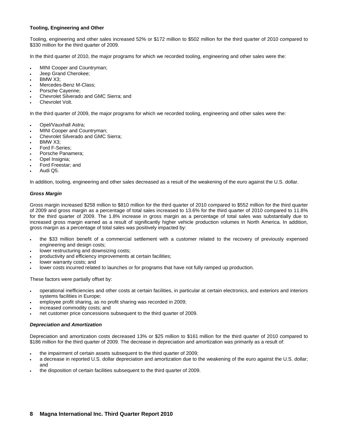### **Tooling, Engineering and Other**

Tooling, engineering and other sales increased 52% or \$172 million to \$502 million for the third quarter of 2010 compared to \$330 million for the third quarter of 2009.

In the third quarter of 2010, the major programs for which we recorded tooling, engineering and other sales were the:

- MINI Cooper and Countryman;
- Jeep Grand Cherokee;
- BMW X3;
- Mercedes-Benz M-Class;
- Porsche Cayenne;
- Chevrolet Silverado and GMC Sierra; and
- Chevrolet Volt.

In the third quarter of 2009, the major programs for which we recorded tooling, engineering and other sales were the:

- Opel/Vauxhall Astra;
- MINI Cooper and Countryman;
- Chevrolet Silverado and GMC Sierra;
- BMW X3;
- Ford F-Series;
- Porsche Panamera;
- Opel Insignia;
- Ford Freestar; and
- Audi Q5.

In addition, tooling, engineering and other sales decreased as a result of the weakening of the euro against the U.S. dollar.

### *Gross Margin*

Gross margin increased \$258 million to \$810 million for the third quarter of 2010 compared to \$552 million for the third quarter of 2009 and gross margin as a percentage of total sales increased to 13.6% for the third quarter of 2010 compared to 11.8% for the third quarter of 2009. The 1.8% increase in gross margin as a percentage of total sales was substantially due to increased gross margin earned as a result of significantly higher vehicle production volumes in North America. In addition, gross margin as a percentage of total sales was positively impacted by:

- the \$33 million benefit of a commercial settlement with a customer related to the recovery of previously expensed engineering and design costs;
- lower restructuring and downsizing costs;
- productivity and efficiency improvements at certain facilities;
- lower warranty costs; and
- lower costs incurred related to launches or for programs that have not fully ramped up production.

These factors were partially offset by:

- operational inefficiencies and other costs at certain facilities, in particular at certain electronics, and exteriors and interiors systems facilities in Europe;
- employee profit sharing, as no profit sharing was recorded in 2009;
- increased commodity costs; and
- net customer price concessions subsequent to the third quarter of 2009.

### *Depreciation and Amortization*

Depreciation and amortization costs decreased 13% or \$25 million to \$161 million for the third quarter of 2010 compared to \$186 million for the third quarter of 2009. The decrease in depreciation and amortization was primarily as a result of:

- the impairment of certain assets subsequent to the third quarter of 2009;
- a decrease in reported U.S. dollar depreciation and amortization due to the weakening of the euro against the U.S. dollar; and
- the disposition of certain facilities subsequent to the third quarter of 2009.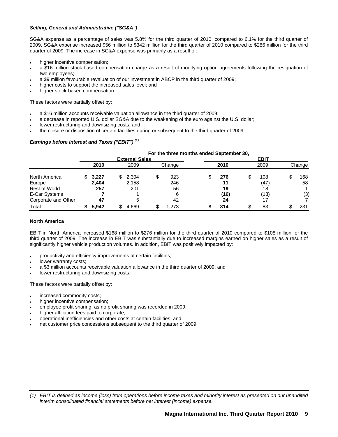### *Selling, General and Administrative ("SG&A")*

SG&A expense as a percentage of sales was 5.8% for the third quarter of 2010, compared to 6.1% for the third quarter of 2009. SG&A expense increased \$56 million to \$342 million for the third quarter of 2010 compared to \$286 million for the third quarter of 2009. The increase in SG&A expense was primarily as a result of:

- higher incentive compensation;
- a \$16 million stock-based compensation charge as a result of modifying option agreements following the resignation of two employees;
- a \$9 million favourable revaluation of our investment in ABCP in the third quarter of 2009;
- higher costs to support the increased sales level; and
- higher stock-based compensation.

These factors were partially offset by:

- a \$16 million accounts receivable valuation allowance in the third quarter of 2009;
- a decrease in reported U.S. dollar SG&A due to the weakening of the euro against the U.S. dollar;
- lower restructuring and downsizing costs; and
- the closure or disposition of certain facilities during or subsequent to the third quarter of 2009.

# *Earnings before Interest and Taxes ("EBIT") (1)*

|                     |       |     |                       |   | For the three months ended September 30, |      |    |             |        |
|---------------------|-------|-----|-----------------------|---|------------------------------------------|------|----|-------------|--------|
|                     |       |     | <b>External Sales</b> |   |                                          |      |    | <b>EBIT</b> |        |
|                     | 2010  |     | 2009                  |   | Change                                   | 2010 |    | 2009        | Change |
| North America       | 3,227 | \$. | 2,304                 | S | 923                                      | 276  | \$ | 108         | 168    |
| Europe              | 2,404 |     | 2,158                 |   | 246                                      | 11   |    | (47)        | 58     |
| Rest of World       | 257   |     | 201                   |   | 56                                       | 19   |    | 18          |        |
| E-Car Systems       |       |     |                       |   |                                          | (16) |    | (13)        | (3)    |
| Corporate and Other | 47    |     | 5                     |   | 42                                       | 24   |    |             |        |
| Total               | 5.942 |     | 4.669                 |   | 1.273                                    | 314  | ۰D | 83          | 231    |

### **North America**

EBIT in North America increased \$168 million to \$276 million for the third quarter of 2010 compared to \$108 million for the third quarter of 2009. The increase in EBIT was substantially due to increased margins earned on higher sales as a result of significantly higher vehicle production volumes. In addition, EBIT was positively impacted by:

- productivity and efficiency improvements at certain facilities;
- lower warranty costs;
- a \$3 million accounts receivable valuation allowance in the third quarter of 2009; and
- lower restructuring and downsizing costs.

These factors were partially offset by:

- increased commodity costs;
- higher incentive compensation;
- employee profit sharing, as no profit sharing was recorded in 2009;
- higher affiliation fees paid to corporate;
- operational inefficiencies and other costs at certain facilities; and
- net customer price concessions subsequent to the third quarter of 2009.

*<sup>(1)</sup> EBIT is defined as income (loss) from operations before income taxes and minority interest as presented on our unaudited interim consolidated financial statements before net interest (income) expense.*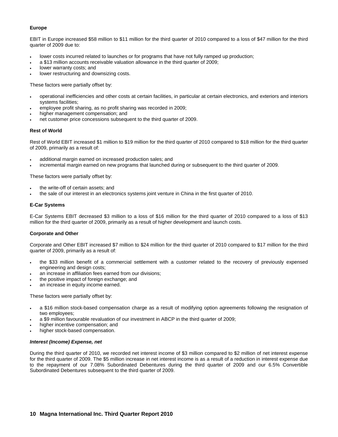# **Europe**

EBIT in Europe increased \$58 million to \$11 million for the third quarter of 2010 compared to a loss of \$47 million for the third quarter of 2009 due to:

- lower costs incurred related to launches or for programs that have not fully ramped up production;
- a \$13 million accounts receivable valuation allowance in the third quarter of 2009;
- lower warranty costs; and
- lower restructuring and downsizing costs.

These factors were partially offset by:

- operational inefficiencies and other costs at certain facilities, in particular at certain electronics, and exteriors and interiors systems facilities;
- employee profit sharing, as no profit sharing was recorded in 2009;
- higher management compensation; and
- net customer price concessions subsequent to the third quarter of 2009.

### **Rest of World**

Rest of World EBIT increased \$1 million to \$19 million for the third quarter of 2010 compared to \$18 million for the third quarter of 2009, primarily as a result of:

- additional margin earned on increased production sales; and
- incremental margin earned on new programs that launched during or subsequent to the third quarter of 2009.

These factors were partially offset by:

- the write-off of certain assets; and
- the sale of our interest in an electronics systems joint venture in China in the first quarter of 2010.

### **E-Car Systems**

E-Car Systems EBIT decreased \$3 million to a loss of \$16 million for the third quarter of 2010 compared to a loss of \$13 million for the third quarter of 2009, primarily as a result of higher development and launch costs.

# **Corporate and Other**

Corporate and Other EBIT increased \$7 million to \$24 million for the third quarter of 2010 compared to \$17 million for the third quarter of 2009, primarily as a result of:

- the \$33 million benefit of a commercial settlement with a customer related to the recovery of previously expensed engineering and design costs;
- an increase in affiliation fees earned from our divisions;
- the positive impact of foreign exchange; and
- an increase in equity income earned.

These factors were partially offset by:

- a \$16 million stock-based compensation charge as a result of modifying option agreements following the resignation of two employees;
- a \$9 million favourable revaluation of our investment in ABCP in the third quarter of 2009;
- higher incentive compensation; and
- higher stock-based compensation.

### *Interest (Income) Expense, net*

During the third quarter of 2010, we recorded net interest income of \$3 million compared to \$2 million of net interest expense for the third quarter of 2009. The \$5 million increase in net interest income is as a result of a reduction in interest expense due to the repayment of our 7.08% Subordinated Debentures during the third quarter of 2009 and our 6.5% Convertible Subordinated Debentures subsequent to the third quarter of 2009.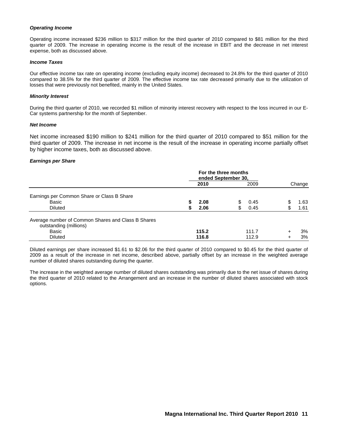### *Operating Income*

Operating income increased \$236 million to \$317 million for the third quarter of 2010 compared to \$81 million for the third quarter of 2009. The increase in operating income is the result of the increase in EBIT and the decrease in net interest expense, both as discussed above.

### *Income Taxes*

Our effective income tax rate on operating income (excluding equity income) decreased to 24.8% for the third quarter of 2010 compared to 38.5% for the third quarter of 2009. The effective income tax rate decreased primarily due to the utilization of losses that were previously not benefited, mainly in the United States.

### *Minority Interest*

During the third quarter of 2010, we recorded \$1 million of minority interest recovery with respect to the loss incurred in our E-Car systems partnership for the month of September.

### *Net Income*

Net income increased \$190 million to \$241 million for the third quarter of 2010 compared to \$51 million for the third quarter of 2009. The increase in net income is the result of the increase in operating income partially offset by higher income taxes, both as discussed above.

### *Earnings per Share*

|                                                    | For the three months<br>ended September 30, |       |    |       |        |        |  |
|----------------------------------------------------|---------------------------------------------|-------|----|-------|--------|--------|--|
|                                                    |                                             | 2010  |    | 2009  |        | Change |  |
| Earnings per Common Share or Class B Share         |                                             |       |    |       |        |        |  |
| Basic                                              | S                                           | 2.08  |    | 0.45  |        | 1.63   |  |
| <b>Diluted</b>                                     | S                                           | 2.06  | \$ | 0.45  | \$     | 1.61   |  |
| Average number of Common Shares and Class B Shares |                                             |       |    |       |        |        |  |
| outstanding (millions)                             |                                             |       |    |       |        |        |  |
| Basic                                              |                                             | 115.2 |    | 111.7 | $\div$ | 3%     |  |
| <b>Diluted</b>                                     |                                             | 116.8 |    | 112.9 |        | 3%     |  |

Diluted earnings per share increased \$1.61 to \$2.06 for the third quarter of 2010 compared to \$0.45 for the third quarter of 2009 as a result of the increase in net income, described above, partially offset by an increase in the weighted average number of diluted shares outstanding during the quarter.

The increase in the weighted average number of diluted shares outstanding was primarily due to the net issue of shares during the third quarter of 2010 related to the Arrangement and an increase in the number of diluted shares associated with stock options.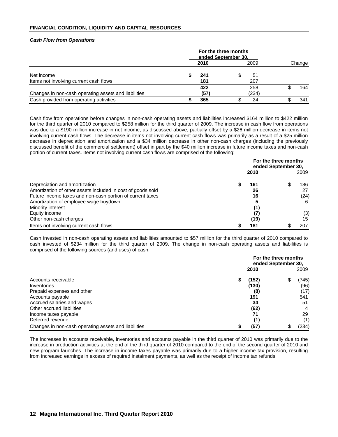### **FINANCIAL CONDITION, LIQUIDITY AND CAPITAL RESOURCES**

### *Cash Flow from Operations*

|                                                      |  | 2010        |   | 2009         |  | Change |
|------------------------------------------------------|--|-------------|---|--------------|--|--------|
| Net income<br>Items not involving current cash flows |  | 241<br>181  |   | 51<br>207    |  |        |
| Changes in non-cash operating assets and liabilities |  | 422<br>(57) |   | 258<br>(234) |  | 164    |
| Cash provided from operating activities              |  | 365         | Ф | 24           |  | 341    |

Cash flow from operations before changes in non-cash operating assets and liabilities increased \$164 million to \$422 million for the third quarter of 2010 compared to \$258 million for the third quarter of 2009. The increase in cash flow from operations was due to a \$190 million increase in net income, as discussed above, partially offset by a \$26 million decrease in items not involving current cash flows. The decrease in items not involving current cash flows was primarily as a result of a \$25 million decrease in depreciation and amortization and a \$34 million decrease in other non-cash charges (including the previously discussed benefit of the commercial settlement) offset in part by the \$40 million increase in future income taxes and non-cash portion of current taxes. Items not involving current cash flows are comprised of the following:

|                                                             | For the three months<br>ended September 30, |      |  |      |  |  |
|-------------------------------------------------------------|---------------------------------------------|------|--|------|--|--|
|                                                             |                                             | 2010 |  | 2009 |  |  |
| Depreciation and amortization                               |                                             | 161  |  | 186  |  |  |
| Amortization of other assets included in cost of goods sold |                                             | 26   |  | 27   |  |  |
| Future income taxes and non-cash portion of current taxes   |                                             | 16   |  | (24) |  |  |
| Amortization of employee wage buydown                       |                                             |      |  | 6    |  |  |
| Minority interest                                           |                                             | (1)  |  |      |  |  |
| Equity income                                               |                                             | (7)  |  | (3)  |  |  |
| Other non-cash charges                                      |                                             | (19) |  | 15   |  |  |
| Items not involving current cash flows                      |                                             | 181  |  | 207  |  |  |

Cash invested in non-cash operating assets and liabilities amounted to \$57 million for the third quarter of 2010 compared to cash invested of \$234 million for the third quarter of 2009. The change in non-cash operating assets and liabilities is comprised of the following sources (and uses) of cash:

|                                                      | For the three months<br>ended September 30, |       |  |       |  |  |
|------------------------------------------------------|---------------------------------------------|-------|--|-------|--|--|
|                                                      |                                             | 2010  |  | 2009  |  |  |
| Accounts receivable                                  | \$                                          | (152) |  | (745) |  |  |
| Inventories                                          |                                             | (130) |  | (96)  |  |  |
| Prepaid expenses and other                           |                                             | (8)   |  | (17)  |  |  |
| Accounts payable                                     |                                             | 191   |  | 541   |  |  |
| Accrued salaries and wages                           |                                             | 34    |  | 51    |  |  |
| Other accrued liabilities                            |                                             | (62)  |  |       |  |  |
| Income taxes payable                                 |                                             | 71    |  | 29    |  |  |
| Deferred revenue                                     |                                             | (1)   |  | (1)   |  |  |
| Changes in non-cash operating assets and liabilities |                                             | (57)  |  | (234) |  |  |

The increases in accounts receivable, inventories and accounts payable in the third quarter of 2010 was primarily due to the increase in production activities at the end of the third quarter of 2010 compared to the end of the second quarter of 2010 and new program launches. The increase in income taxes payable was primarily due to a higher income tax provision, resulting from increased earnings in excess of required instalment payments, as well as the receipt of income tax refunds.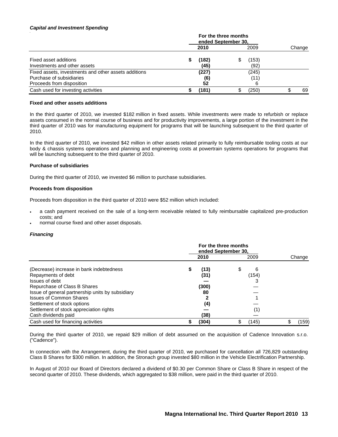### *Capital and Investment Spending*

*.*

|                                                      |  | For the three months<br>ended September 30, |    |       |  |        |
|------------------------------------------------------|--|---------------------------------------------|----|-------|--|--------|
|                                                      |  | 2010                                        |    | 2009  |  | Change |
| Fixed asset additions                                |  | (182)                                       | S  | (153) |  |        |
| Investments and other assets                         |  | (45)                                        |    | (92)  |  |        |
| Fixed assets, investments and other assets additions |  | (227)                                       |    | (245) |  |        |
| Purchase of subsidiaries                             |  | (6)                                         |    | (11)  |  |        |
| Proceeds from disposition                            |  | 52                                          |    | 6     |  |        |
| Cash used for investing activities                   |  | (181)                                       | \$ | (250) |  | 69     |

#### **Fixed and other assets additions**

In the third quarter of 2010, we invested \$182 million in fixed assets. While investments were made to refurbish or replace assets consumed in the normal course of business and for productivity improvements, a large portion of the investment in the third quarter of 2010 was for manufacturing equipment for programs that will be launching subsequent to the third quarter of 2010.

In the third quarter of 2010, we invested \$42 million in other assets related primarily to fully reimbursable tooling costs at our body & chassis systems operations and planning and engineering costs at powertrain systems operations for programs that will be launching subsequent to the third quarter of 2010.

### **Purchase of subsidiaries**

During the third quarter of 2010, we invested \$6 million to purchase subsidiaries.

### **Proceeds from disposition**

Proceeds from disposition in the third quarter of 2010 were \$52 million which included:

- a cash payment received on the sale of a long-term receivable related to fully reimbursable capitalized pre-production costs; and
- normal course fixed and other asset disposals.

### *Financing*

|                                                                                                          |  | 2010          |    | 2009       | Change |
|----------------------------------------------------------------------------------------------------------|--|---------------|----|------------|--------|
| (Decrease) increase in bank indebtedness<br>Repayments of debt<br>Issues of debt                         |  | (13)<br>(31)  | \$ | 6<br>(154) |        |
| Repurchase of Class B Shares<br>Issue of general partnership units by subsidiary                         |  | (300)<br>80   |    |            |        |
| <b>Issues of Common Shares</b><br>Settlement of stock options<br>Settlement of stock appreciation rights |  | (4)           |    | (1)        |        |
| Cash dividends paid<br>Cash used for financing activities                                                |  | (38)<br>(304) | \$ | (145)      | (159)  |

During the third quarter of 2010, we repaid \$29 million of debt assumed on the acquisition of Cadence Innovation s.r.o. ("Cadence").

In connection with the Arrangement, during the third quarter of 2010, we purchased for cancellation all 726,829 outstanding Class B Shares for \$300 million. In addition, the Stronach group invested \$80 million in the Vehicle Electrification Partnership.

In August of 2010 our Board of Directors declared a dividend of \$0.30 per Common Share or Class B Share in respect of the second quarter of 2010. These dividends, which aggregated to \$38 million, were paid in the third quarter of 2010.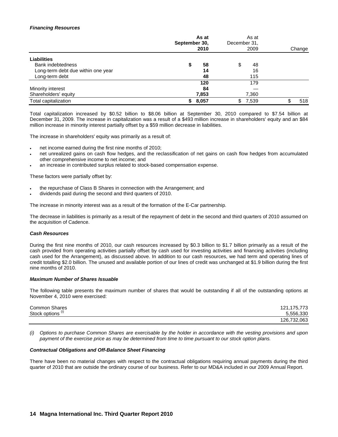### *Financing Resources*

|                                    | As at<br>September 30,<br>2010 |    | December 31, | As at<br>2009 | Change |
|------------------------------------|--------------------------------|----|--------------|---------------|--------|
| <b>Liabilities</b>                 |                                |    |              |               |        |
| <b>Bank indebtedness</b>           |                                | 58 | \$           | 48            |        |
| Long-term debt due within one year |                                | 14 |              | 16            |        |
| Long-term debt                     |                                | 48 |              | 115           |        |
|                                    | 120                            |    |              | 179           |        |
| Minority interest                  |                                | 84 |              |               |        |
| Shareholders' equity               | 7,853                          |    |              | 7,360         |        |
| Total capitalization               | 8,057                          |    | \$.          | 7,539         | 518    |

Total capitalization increased by \$0.52 billion to \$8.06 billion at September 30, 2010 compared to \$7.54 billion at December 31, 2009. The increase in capitalization was a result of a \$493 million increase in shareholders' equity and an \$84 million increase in minority interest partially offset by a \$59 million decrease in liabilities.

The increase in shareholders' equity was primarily as a result of:

- net income earned during the first nine months of 2010;
- net unrealized gains on cash flow hedges, and the reclassification of net gains on cash flow hedges from accumulated other comprehensive income to net income; and
- an increase in contributed surplus related to stock-based compensation expense.

These factors were partially offset by:

- the repurchase of Class B Shares in connection with the Arrangement; and
- dividends paid during the second and third quarters of 2010.

The increase in minority interest was as a result of the formation of the E-Car partnership.

The decrease in liabilities is primarily as a result of the repayment of debt in the second and third quarters of 2010 assumed on the acquisition of Cadence.

# *Cash Resources*

During the first nine months of 2010, our cash resources increased by \$0.3 billion to \$1.7 billion primarily as a result of the cash provided from operating activities partially offset by cash used for investing activities and financing activities (including cash used for the Arrangement), as discussed above. In addition to our cash resources, we had term and operating lines of credit totalling \$2.0 billion. The unused and available portion of our lines of credit was unchanged at \$1.9 billion during the first nine months of 2010.

### *Maximum Number of Shares Issuable*

The following table presents the maximum number of shares that would be outstanding if all of the outstanding options at November 4, 2010 were exercised:

| <b>Common Shares</b>         | .175.773<br>121.17 |
|------------------------------|--------------------|
| Stock options <sup>(i)</sup> | 5.556.330          |
|                              | .063<br>126.732.   |

*(i) Options to purchase Common Shares are exercisable by the holder in accordance with the vesting provisions and upon payment of the exercise price as may be determined from time to time pursuant to our stock option plans.* 

### *Contractual Obligations and Off-Balance Sheet Financing*

There have been no material changes with respect to the contractual obligations requiring annual payments during the third quarter of 2010 that are outside the ordinary course of our business. Refer to our MD&A included in our 2009 Annual Report.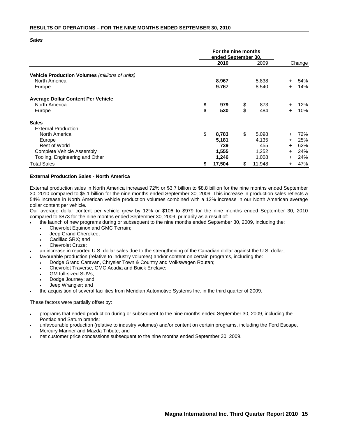### **RESULTS OF OPERATIONS – FOR THE NINE MONTHS ENDED SEPTEMBER 30, 2010**

*Sales* 

|                                                |    | For the nine months<br>ended September 30, |    |        |           |        |
|------------------------------------------------|----|--------------------------------------------|----|--------|-----------|--------|
|                                                |    | 2010                                       |    |        |           | Change |
| Vehicle Production Volumes (millions of units) |    |                                            |    |        |           |        |
| North America                                  |    | 8.967                                      |    | 5.838  | $\pm$     | 54%    |
| Europe                                         |    | 9.767                                      |    | 8.540  | $\pm$     | 14%    |
| <b>Average Dollar Content Per Vehicle</b>      |    |                                            |    |        |           |        |
| North America                                  | \$ | 979                                        | \$ | 873    |           | 12%    |
| Europe                                         | \$ | 530                                        | \$ | 484    | $+$       | 10%    |
| <b>Sales</b>                                   |    |                                            |    |        |           |        |
| <b>External Production</b>                     |    |                                            |    |        |           |        |
| North America                                  | \$ | 8,783                                      | \$ | 5,098  |           | 72%    |
| Europe                                         |    | 5,181                                      |    | 4,135  | $\pm$     | 25%    |
| <b>Rest of World</b>                           |    | 739                                        |    | 455    | $\ddot{}$ | 62%    |
| Complete Vehicle Assembly                      |    | 1,555                                      |    | 1,252  | $\pm$     | 24%    |
| Tooling, Engineering and Other                 |    | 1,246                                      |    | 1,008  | $+$       | 24%    |
| <b>Total Sales</b>                             | \$ | 17,504                                     | \$ | 11,948 | $\pm$     | 47%    |

### **External Production Sales - North America**

External production sales in North America increased 72% or \$3.7 billion to \$8.8 billion for the nine months ended September 30, 2010 compared to \$5.1 billion for the nine months ended September 30, 2009. This increase in production sales reflects a 54% increase in North American vehicle production volumes combined with a 12% increase in our North American average dollar content per vehicle.

Our average dollar content per vehicle grew by 12% or \$106 to \$979 for the nine months ended September 30, 2010 compared to \$873 for the nine months ended September 30, 2009, primarily as a result of:

- the launch of new programs during or subsequent to the nine months ended September 30, 2009, including the:
	- Chevrolet Equinox and GMC Terrain;
	- Jeep Grand Cherokee;
	- Cadillac SRX; and
	- Chevrolet Cruze:
- an increase in reported U.S. dollar sales due to the strengthening of the Canadian dollar against the U.S. dollar;
- favourable production (relative to industry volumes) and/or content on certain programs, including the:
- Dodge Grand Caravan, Chrysler Town & Country and Volkswagen Routan;
	- Chevrolet Traverse, GMC Acadia and Buick Enclave;
	- GM full-sized SUVs;
	- Dodge Journey; and
	- Jeep Wrangler; and
- the acquisition of several facilities from Meridian Automotive Systems Inc. in the third quarter of 2009.

These factors were partially offset by:

- programs that ended production during or subsequent to the nine months ended September 30, 2009, including the Pontiac and Saturn brands;
- unfavourable production (relative to industry volumes) and/or content on certain programs, including the Ford Escape, Mercury Mariner and Mazda Tribute; and
- net customer price concessions subsequent to the nine months ended September 30, 2009.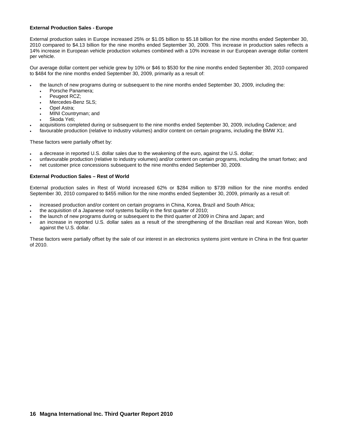### **External Production Sales - Europe**

External production sales in Europe increased 25% or \$1.05 billion to \$5.18 billion for the nine months ended September 30, 2010 compared to \$4.13 billion for the nine months ended September 30, 2009. This increase in production sales reflects a 14% increase in European vehicle production volumes combined with a 10% increase in our European average dollar content per vehicle.

Our average dollar content per vehicle grew by 10% or \$46 to \$530 for the nine months ended September 30, 2010 compared to \$484 for the nine months ended September 30, 2009, primarily as a result of:

- the launch of new programs during or subsequent to the nine months ended September 30, 2009, including the:
	- Porsche Panamera;
	- Peugeot RCZ:
	- Mercedes-Benz SLS:
	- Opel Astra:
	- MINI Countryman; and
	- Skoda Yeti;
- acquisitions completed during or subsequent to the nine months ended September 30, 2009, including Cadence; and
- favourable production (relative to industry volumes) and/or content on certain programs, including the BMW X1.

These factors were partially offset by:

- a decrease in reported U.S. dollar sales due to the weakening of the euro, against the U.S. dollar;
- unfavourable production (relative to industry volumes) and/or content on certain programs, including the smart fortwo; and
- net customer price concessions subsequent to the nine months ended September 30, 2009.

### **External Production Sales – Rest of World**

External production sales in Rest of World increased 62% or \$284 million to \$739 million for the nine months ended September 30, 2010 compared to \$455 million for the nine months ended September 30, 2009, primarily as a result of:

- increased production and/or content on certain programs in China, Korea, Brazil and South Africa;
- the acquisition of a Japanese roof systems facility in the first quarter of 2010;
- the launch of new programs during or subsequent to the third quarter of 2009 in China and Japan; and
- an increase in reported U.S. dollar sales as a result of the strengthening of the Brazilian real and Korean Won, both against the U.S. dollar.

These factors were partially offset by the sale of our interest in an electronics systems joint venture in China in the first quarter of 2010.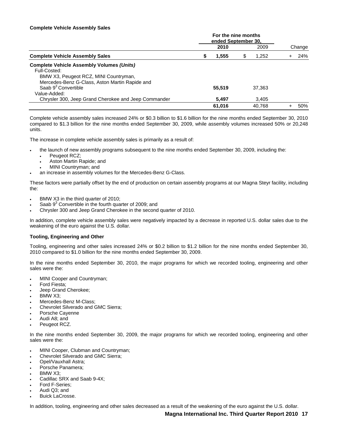### **Complete Vehicle Assembly Sales**

|                                                      |   | 2010   | 2009        | Change |
|------------------------------------------------------|---|--------|-------------|--------|
| <b>Complete Vehicle Assembly Sales</b>               | S | 1.555  | \$<br>1,252 | 24%    |
| <b>Complete Vehicle Assembly Volumes (Units)</b>     |   |        |             |        |
| Full-Costed:                                         |   |        |             |        |
| BMW X3, Peugeot RCZ, MINI Countryman,                |   |        |             |        |
| Mercedes-Benz G-Class, Aston Martin Rapide and       |   |        |             |        |
| Saab 9 <sup>3</sup> Convertible                      |   | 55,519 | 37,363      |        |
| Value-Added:                                         |   |        |             |        |
| Chrysler 300, Jeep Grand Cherokee and Jeep Commander |   | 5.497  | 3,405       |        |
|                                                      |   | 61,016 | 40.768      | 50%    |

Complete vehicle assembly sales increased 24% or \$0.3 billion to \$1.6 billion for the nine months ended September 30, 2010 compared to \$1.3 billion for the nine months ended September 30, 2009, while assembly volumes increased 50% or 20,248 units.

The increase in complete vehicle assembly sales is primarily as a result of:

- the launch of new assembly programs subsequent to the nine months ended September 30, 2009, including the:
	- Peugeot RCZ;
	- Aston Martin Rapide; and
	- MINI Countryman; and
- an increase in assembly volumes for the Mercedes-Benz G-Class.

These factors were partially offset by the end of production on certain assembly programs at our Magna Steyr facility, including the:

- BMW X3 in the third quarter of 2010;
- Saab  $9<sup>3</sup>$  Convertible in the fourth quarter of 2009; and
- Chrysler 300 and Jeep Grand Cherokee in the second quarter of 2010.

In addition, complete vehicle assembly sales were negatively impacted by a decrease in reported U.S. dollar sales due to the weakening of the euro against the U.S. dollar.

### **Tooling, Engineering and Other**

Tooling, engineering and other sales increased 24% or \$0.2 billion to \$1.2 billion for the nine months ended September 30, 2010 compared to \$1.0 billion for the nine months ended September 30, 2009.

In the nine months ended September 30, 2010, the major programs for which we recorded tooling, engineering and other sales were the:

- MINI Cooper and Countryman;
- Ford Fiesta;
- Jeep Grand Cherokee;
- BMW X3:
- Mercedes-Benz M-Class:
- Chevrolet Silverado and GMC Sierra;
- Porsche Cayenne
- Audi A8; and
- Peugeot RCZ.

In the nine months ended September 30, 2009, the major programs for which we recorded tooling, engineering and other sales were the:

- MINI Cooper, Clubman and Countryman;
- Chevrolet Silverado and GMC Sierra;
- Opel/Vauxhall Astra;
- Porsche Panamera;
- BMW X3:
- Cadillac SRX and Saab 9-4X;
- Ford F-Series;
- Audi Q3; and
- Buick LaCrosse.

In addition, tooling, engineering and other sales decreased as a result of the weakening of the euro against the U.S. dollar.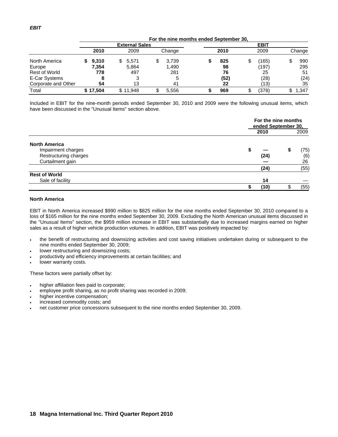|                      | For the nine months ended September 30. |     |          |   |             |  |      |   |       |  |        |  |
|----------------------|-----------------------------------------|-----|----------|---|-------------|--|------|---|-------|--|--------|--|
|                      | <b>External Sales</b>                   |     |          |   | <b>EBIT</b> |  |      |   |       |  |        |  |
|                      | 2010                                    |     | 2009     |   | Change      |  | 2010 |   | 2009  |  | Change |  |
| North America        | 9,310                                   | SS. | 5,571    | S | 3.739       |  | 825  | S | (165) |  | 990    |  |
| Europe               | 7,354                                   |     | 5,864    |   | 1.490       |  | 98   |   | (197) |  | 295    |  |
| <b>Rest of World</b> | 778                                     |     | 497      |   | 281         |  | 76   |   | 25    |  | 51     |  |
| E-Car Systems        |                                         |     |          |   |             |  | (52) |   | (28)  |  | (24)   |  |
| Corporate and Other  |                                         | 54  | 13       |   | 41          |  | 22   |   | (13)  |  | 35     |  |
| Total                | \$17.504                                |     | \$11.948 |   | 5.556       |  | 969  |   | (378) |  | 1,347  |  |

Included in EBIT for the nine-month periods ended September 30, 2010 and 2009 were the following unusual items, which have been discussed in the "Unusual Items" section above.

|                       |      | For the nine months<br>ended September 30, |      |  |  |  |  |
|-----------------------|------|--------------------------------------------|------|--|--|--|--|
|                       | 2010 |                                            | 2009 |  |  |  |  |
| <b>North America</b>  |      |                                            |      |  |  |  |  |
| Impairment charges    | 5    |                                            | (75) |  |  |  |  |
| Restructuring charges | (24) |                                            | (6)  |  |  |  |  |
| Curtailment gain      |      |                                            | 26   |  |  |  |  |
|                       | (24) |                                            | (55) |  |  |  |  |
| <b>Rest of World</b>  |      |                                            |      |  |  |  |  |
| Sale of facility      | 14   |                                            |      |  |  |  |  |
|                       | (10) |                                            | (55) |  |  |  |  |

### **North America**

EBIT in North America increased \$990 million to \$825 million for the nine months ended September 30, 2010 compared to a loss of \$165 million for the nine months ended September 30, 2009. Excluding the North American unusual items discussed in the "Unusual Items" section, the \$959 million increase in EBIT was substantially due to increased margins earned on higher sales as a result of higher vehicle production volumes. In addition, EBIT was positively impacted by:

- the benefit of restructuring and downsizing activities and cost saving initiatives undertaken during or subsequent to the nine months ended September 30, 2009;
- lower restructuring and downsizing costs;
- productivity and efficiency improvements at certain facilities; and
- lower warranty costs.

These factors were partially offset by:

- higher affiliation fees paid to corporate;
- employee profit sharing, as no profit sharing was recorded in 2009;
- higher incentive compensation;
- increased commodity costs; and
- net customer price concessions subsequent to the nine months ended September 30, 2009.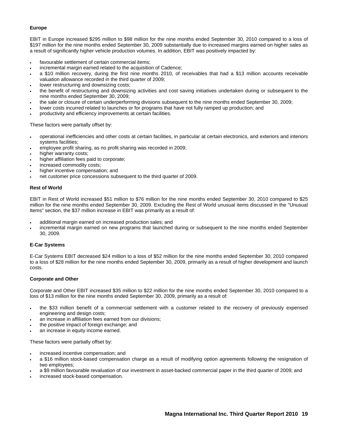# **Europe**

EBIT in Europe increased \$295 million to \$98 million for the nine months ended September 30, 2010 compared to a loss of \$197 million for the nine months ended September 30, 2009 substantially due to increased margins earned on higher sales as a result of significantly higher vehicle production volumes. In addition, EBIT was positively impacted by:

- favourable settlement of certain commercial items;
- incremental margin earned related to the acquisition of Cadence;
- a \$10 million recovery, during the first nine months 2010, of receivables that had a \$13 million accounts receivable valuation allowance recorded in the third quarter of 2009;
- lower restructuring and downsizing costs;
- the benefit of restructuring and downsizing activities and cost saving initiatives undertaken during or subsequent to the nine months ended September 30, 2009;
- the sale or closure of certain underperforming divisions subsequent to the nine months ended September 30, 2009;
- lower costs incurred related to launches or for programs that have not fully ramped up production; and
- productivity and efficiency improvements at certain facilities.

These factors were partially offset by:

- operational inefficiencies and other costs at certain facilities, in particular at certain electronics, and exteriors and interiors systems facilities;
- employee profit sharing, as no profit sharing was recorded in 2009;
- higher warranty costs;
- higher affiliation fees paid to corporate;
- increased commodity costs;
- higher incentive compensation; and
- net customer price concessions subsequent to the third quarter of 2009.

### **Rest of World**

EBIT in Rest of World increased \$51 million to \$76 million for the nine months ended September 30, 2010 compared to \$25 million for the nine months ended September 30, 2009. Excluding the Rest of World unusual items discussed in the "Unusual Items" section, the \$37 million increase in EBIT was primarily as a result of:

- additional margin earned on increased production sales; and
- incremental margin earned on new programs that launched during or subsequent to the nine months ended September 30, 2009.

# **E-Car Systems**

E-Car Systems EBIT decreased \$24 million to a loss of \$52 million for the nine months ended September 30, 2010 compared to a loss of \$28 million for the nine months ended September 30, 2009, primarily as a result of higher development and launch costs.

### **Corporate and Other**

Corporate and Other EBIT increased \$35 million to \$22 million for the nine months ended September 30, 2010 compared to a loss of \$13 million for the nine months ended September 30, 2009, primarily as a result of:

- the \$33 million benefit of a commercial settlement with a customer related to the recovery of previously expensed engineering and design costs;
- an increase in affiliation fees earned from our divisions;
- the positive impact of foreign exchange; and
- an increase in equity income earned.

These factors were partially offset by:

- increased incentive compensation; and
- a \$16 million stock-based compensation charge as a result of modifying option agreements following the resignation of two employees;
- a \$9 million favourable revaluation of our investment in asset-backed commercial paper in the third quarter of 2009; and
- increased stock-based compensation.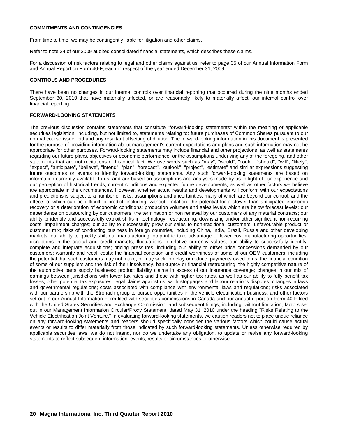From time to time, we may be contingently liable for litigation and other claims.

Refer to note 24 of our 2009 audited consolidated financial statements, which describes these claims.

For a discussion of risk factors relating to legal and other claims against us, refer to page 35 of our Annual Information Form and Annual Report on Form 40-F, each in respect of the year ended December 31, 2009.

#### **CONTROLS AND PROCEDURES**

There have been no changes in our internal controls over financial reporting that occurred during the nine months ended September 30, 2010 that have materially affected, or are reasonably likely to materially affect, our internal control over financial reporting.

### **FORWARD-LOOKING STATEMENTS**

The previous discussion contains statements that constitute "forward-looking statements" within the meaning of applicable securities legislation, including, but not limited to, statements relating to: future purchases of Common Shares pursuant to our normal course issuer bid and any resultant offsetting of dilution. The forward-looking information in this document is presented for the purpose of providing information about management's current expectations and plans and such information may not be appropriate for other purposes. Forward-looking statements may include financial and other projections, as well as statements regarding our future plans, objectives or economic performance, or the assumptions underlying any of the foregoing, and other statements that are not recitations of historical fact. We use words such as "may", "would", "could", "should", "will", "likely", "expect", "anticipate", "believe", "intend", "plan", "forecast", "outlook", "project", "estimate" and similar expressions suggesting future outcomes or events to identify forward-looking statements. Any such forward-looking statements are based on information currently available to us, and are based on assumptions and analyses made by us in light of our experience and our perception of historical trends, current conditions and expected future developments, as well as other factors we believe are appropriate in the circumstances. However, whether actual results and developments will conform with our expectations and predictions is subject to a number of risks, assumptions and uncertainties, many of which are beyond our control, and the effects of which can be difficult to predict, including, without limitation: the potential for a slower than anticipated economic recovery or a deterioration of economic conditions; production volumes and sales levels which are below forecast levels; our dependence on outsourcing by our customers; the termination or non renewal by our customers of any material contracts; our ability to identify and successfully exploit shifts in technology; restructuring, downsizing and/or other significant non-recurring costs; impairment charges; our ability to successfully grow our sales to non-traditional customers; unfavourable product or customer mix; risks of conducting business in foreign countries, including China, India, Brazil, Russia and other developing markets; our ability to quickly shift our manufacturing footprint to take advantage of lower cost manufacturing opportunities; disruptions in the capital and credit markets; fluctuations in relative currency values; our ability to successfully identify, complete and integrate acquisitions; pricing pressures, including our ability to offset price concessions demanded by our customers; warranty and recall costs; the financial condition and credit worthiness of some of our OEM customers, including the potential that such customers may not make, or may seek to delay or reduce, payments owed to us; the financial condition of some of our suppliers and the risk of their insolvency, bankruptcy or financial restructuring; the highly competitive nature of the automotive parts supply business; product liability claims in excess of our insurance coverage; changes in our mix of earnings between jurisdictions with lower tax rates and those with higher tax rates, as well as our ability to fully benefit tax losses; other potential tax exposures; legal claims against us; work stoppages and labour relations disputes; changes in laws and governmental regulations; costs associated with compliance with environmental laws and regulations; risks associated with our partnership with the Stronach group to pursue opportunities in the vehicle electrification business; and other factors set out in our Annual Information Form filed with securities commissions in Canada and our annual report on Form 40-F filed with the United States Securities and Exchange Commission, and subsequent filings, including, without limitation, factors set out in our Management Information Circular/Proxy Statement, dated May 31, 2010 under the heading "Risks Relating to the Vehicle Electrification Joint Venture." In evaluating forward-looking statements, we caution readers not to place undue reliance on any forward-looking statements and readers should specifically consider the various factors which could cause actual events or results to differ materially from those indicated by such forward-looking statements. Unless otherwise required by applicable securities laws, we do not intend, nor do we undertake any obligation, to update or revise any forward-looking statements to reflect subsequent information, events, results or circumstances or otherwise.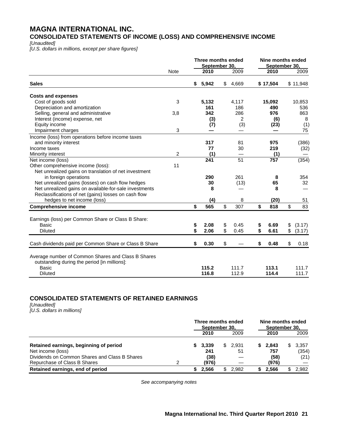# **MAGNA INTERNATIONAL INC. CONSOLIDATED STATEMENTS OF INCOME (LOSS) AND COMPREHENSIVE INCOME**

*[Unaudited]* 

*[U.S. dollars in millions, except per share figures]* 

|                                                        |             | Three months ended<br>September 30, |                 | Nine months ended<br>September 30. |              |
|--------------------------------------------------------|-------------|-------------------------------------|-----------------|------------------------------------|--------------|
|                                                        | <b>Note</b> | 2010                                | 2009            | 2010                               | 2009         |
| <b>Sales</b>                                           |             | \$<br>5,942                         | \$<br>4,669     | \$17,504                           | \$11,948     |
| <b>Costs and expenses</b>                              |             |                                     |                 |                                    |              |
| Cost of goods sold                                     | 3           | 5,132                               | 4,117           | 15,092                             | 10,853       |
| Depreciation and amortization                          |             | 161                                 | 186             | 490                                | 536          |
| Selling, general and administrative                    | 3,8         | 342                                 | 286             | 976                                | 863          |
| Interest (income) expense, net                         |             | (3)                                 | 2               | (6)                                | 8            |
| Equity income                                          |             | (7)                                 | (3)             | (23)                               | (1)          |
| Impairment charges                                     | 3           |                                     |                 |                                    | 75           |
| Income (loss) from operations before income taxes      |             |                                     |                 |                                    |              |
| and minority interest                                  |             | 317                                 | 81              | 975                                | (386)        |
| Income taxes                                           |             | 77                                  | 30              | 219                                | (32)         |
| Minority interest                                      | 2           | (1)                                 |                 | (1)                                |              |
| Net income (loss)                                      |             | $\overline{241}$                    | $\overline{51}$ | 757                                | (354)        |
| Other comprehensive income (loss):                     | 11          |                                     |                 |                                    |              |
| Net unrealized gains on translation of net investment  |             |                                     |                 |                                    |              |
| in foreign operations                                  |             | 290                                 | 261             | 8                                  | 354          |
| Net unrealized gains (losses) on cash flow hedges      |             | 30                                  | (13)            | 65                                 | 32           |
| Net unrealized gains on available-for-sale investments |             | 8                                   |                 | 8                                  |              |
| Reclassifications of net (gains) losses on cash flow   |             |                                     |                 |                                    |              |
| hedges to net income (loss)                            |             | (4)                                 | 8               | (20)                               | 51           |
| <b>Comprehensive income</b>                            |             | \$<br>565                           | \$<br>307       | \$<br>818                          | \$<br>83     |
|                                                        |             |                                     |                 |                                    |              |
| Earnings (loss) per Common Share or Class B Share:     |             |                                     |                 |                                    |              |
| Basic                                                  |             | \$<br>2.08                          | \$<br>0.45      | \$<br>6.69                         | \$<br>(3.17) |
| <b>Diluted</b>                                         |             | \$<br>2.06                          | \$<br>0.45      | \$<br>6.61                         | \$<br>(3.17) |
| Cash dividends paid per Common Share or Class B Share  |             | \$<br>0.30                          | \$              | \$<br>0.48                         | \$<br>0.18   |
|                                                        |             |                                     |                 |                                    |              |
| Average number of Common Shares and Class B Shares     |             |                                     |                 |                                    |              |
| outstanding during the period [in millions]:           |             | 115.2                               |                 |                                    |              |
| <b>Basic</b>                                           |             |                                     | 111.7           | 113.1                              | 111.7        |
| Diluted                                                |             | 116.8                               | 112.9           | 114.4                              | 111.7        |

# **CONSOLIDATED STATEMENTS OF RETAINED EARNINGS**

*[Unaudited] [U.S. dollars in millions]*

|                                               | Three months ended<br>September 30, |         |  | Nine months ended<br>September 30, |    |       |     |       |
|-----------------------------------------------|-------------------------------------|---------|--|------------------------------------|----|-------|-----|-------|
|                                               |                                     | 2010    |  | 2009                               |    | 2010  |     | 2009  |
| Retained earnings, beginning of period        |                                     | \$3,339 |  | \$2,931                            | S. | 2,843 | SS. | 3,357 |
| Net income (loss)                             |                                     | 241     |  | 51                                 |    | 757   |     | (354) |
| Dividends on Common Shares and Class B Shares |                                     | (38)    |  |                                    |    | (58)  |     | (21)  |
| Repurchase of Class B Shares                  |                                     | (976)   |  |                                    |    | (976) |     |       |
| Retained earnings, end of period              |                                     | 2.566   |  | 2.982                              |    | 2.566 |     | 2.982 |

*See accompanying notes*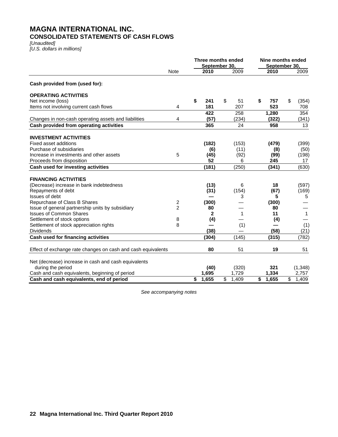# **MAGNA INTERNATIONAL INC. CONSOLIDATED STATEMENTS OF CASH FLOWS**

*[Unaudited] [U.S. dollars in millions]* 

|                                                              |                | Three months ended<br>September 30, |    |              | Nine months ended<br>September 30. |       |                         |              |  |
|--------------------------------------------------------------|----------------|-------------------------------------|----|--------------|------------------------------------|-------|-------------------------|--------------|--|
|                                                              | <b>Note</b>    | 2010                                |    | 2009         |                                    | 2010  |                         | 2009         |  |
| Cash provided from (used for):                               |                |                                     |    |              |                                    |       |                         |              |  |
| <b>OPERATING ACTIVITIES</b>                                  |                |                                     |    |              |                                    |       |                         |              |  |
| Net income (loss)                                            |                | \$<br>241                           | \$ | 51           | \$                                 | 757   | \$                      | (354)        |  |
| Items not involving current cash flows                       | 4              | 181                                 |    | 207          |                                    | 523   |                         | 708          |  |
|                                                              |                | 422                                 |    | 258          |                                    | 1,280 |                         | 354          |  |
| Changes in non-cash operating assets and liabilities         | 4              | (57)                                |    | (234)        |                                    | (322) |                         | (341)        |  |
| Cash provided from operating activities                      |                | 365                                 |    | 24           |                                    | 958   |                         | 13           |  |
| <b>INVESTMENT ACTIVITIES</b>                                 |                |                                     |    |              |                                    |       |                         |              |  |
| <b>Fixed asset additions</b>                                 |                | (182)                               |    | (153)        |                                    | (479) |                         | (399)        |  |
| Purchase of subsidiaries                                     |                | (6)                                 |    | (11)         |                                    | (8)   |                         | (50)         |  |
| Increase in investments and other assets                     | 5              | (45)                                |    | (92)         |                                    | (99)  |                         | (198)        |  |
| Proceeds from disposition                                    |                | 52                                  |    | 6            |                                    | 245   |                         | 17           |  |
| Cash used for investing activities                           |                | (181)                               |    | (250)        |                                    | (341) |                         | (630)        |  |
| <b>FINANCING ACTIVITIES</b>                                  |                |                                     |    |              |                                    |       |                         |              |  |
| (Decrease) increase in bank indebtedness                     |                | (13)                                |    | 6            |                                    | 18    |                         | (597)        |  |
| Repayments of debt                                           |                | (31)                                |    | (154)        |                                    | (67)  |                         | (169)        |  |
| Issues of debt                                               |                |                                     |    | 3            |                                    | 5     |                         | 5            |  |
| Repurchase of Class B Shares                                 | 2              | (300)                               |    |              |                                    | (300) |                         |              |  |
| Issue of general partnership units by subsidiary             | $\overline{2}$ | 80                                  |    |              |                                    | 80    |                         |              |  |
| <b>Issues of Common Shares</b>                               |                | 2                                   |    | $\mathbf{1}$ |                                    | 11    |                         | $\mathbf{1}$ |  |
| Settlement of stock options                                  | 8              | (4)                                 |    |              |                                    | (4)   |                         |              |  |
| Settlement of stock appreciation rights                      | 8              |                                     |    | (1)          |                                    |       |                         | (1)          |  |
| <b>Dividends</b>                                             |                | (38)                                |    |              |                                    | (58)  |                         | (21)         |  |
| Cash used for financing activities                           |                | (304)                               |    | (145)        |                                    | (315) |                         | (782)        |  |
| Effect of exchange rate changes on cash and cash equivalents |                | 80                                  |    | 51           |                                    | 19    |                         | 51           |  |
| Net (decrease) increase in cash and cash equivalents         |                |                                     |    |              |                                    |       |                         |              |  |
| during the period                                            |                | (40)                                |    | (320)        |                                    | 321   |                         | (1,348)      |  |
| Cash and cash equivalents, beginning of period               |                | 1,695                               |    | 1,729        |                                    | 1,334 |                         | 2,757        |  |
| Cash and cash equivalents, end of period                     |                | \$<br>1,655                         | \$ | 1.409        | $\overline{\boldsymbol{s}}$        | 1,655 | $\overline{\mathbb{S}}$ | 1,409        |  |

*See accompanying notes*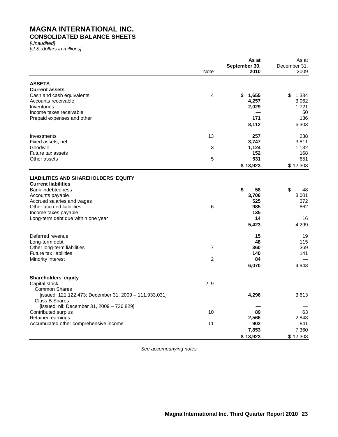# **MAGNA INTERNATIONAL INC. CONSOLIDATED BALANCE SHEETS**

*[Unaudited] [U.S. dollars in millions]* 

|                                                        |                | As at         | As at        |
|--------------------------------------------------------|----------------|---------------|--------------|
|                                                        |                | September 30, | December 31, |
|                                                        | Note           | 2010          | 2009         |
| <b>ASSETS</b>                                          |                |               |              |
| <b>Current assets</b>                                  |                |               |              |
| Cash and cash equivalents                              | 4              | \$1,655       | \$<br>1,334  |
| Accounts receivable                                    |                | 4,257         | 3,062        |
| Inventories                                            |                | 2,029         | 1,721        |
| Income taxes receivable                                |                |               | 50           |
| Prepaid expenses and other                             |                | 171           | 136          |
|                                                        |                | 8,112         | 6,303        |
|                                                        |                |               |              |
| Investments                                            | 13             | 257           | 238          |
| Fixed assets, net                                      |                | 3,747         | 3,811        |
| Goodwill                                               | 3              | 1,124         | 1,132        |
| Future tax assets                                      |                | 152           | 168          |
| Other assets                                           | 5              | 531           | 651          |
|                                                        |                | \$13,923      | \$12,303     |
| <b>LIABILITIES AND SHAREHOLDERS' EQUITY</b>            |                |               |              |
| <b>Current liabilities</b>                             |                |               |              |
| <b>Bank indebtedness</b>                               |                | \$<br>58      | \$<br>48     |
| Accounts payable                                       |                | 3,706         | 3,001        |
| Accrued salaries and wages                             |                | 525           | 372          |
| Other accrued liabilities                              | 6              | 985           | 862          |
| Income taxes payable                                   |                | 135           |              |
| Long-term debt due within one year                     |                | 14            | 16           |
|                                                        |                | 5,423         | 4,299        |
| Deferred revenue                                       |                | 15            | 19           |
| Long-term debt                                         |                | 48            | 115          |
| Other long-term liabilities                            | 7              | 360           | 369          |
| <b>Future tax liabilities</b>                          |                | 140           | 141          |
| Minority interest                                      | $\overline{2}$ | 84            |              |
|                                                        |                | 6,070         | 4,943        |
|                                                        |                |               |              |
| <b>Shareholders' equity</b>                            |                |               |              |
| Capital stock                                          | 2, 9           |               |              |
| <b>Common Shares</b>                                   |                |               |              |
| [issued: 121,122,473; December 31, 2009 - 111,933,031] |                | 4,296         | 3,613        |
| Class B Shares                                         |                |               |              |
| [issued: nil; December 31, 2009 - 726,829]             |                |               |              |
| Contributed surplus                                    | 10             | 89            | 63           |
| Retained earnings                                      |                | 2,566         | 2,843        |
| Accumulated other comprehensive income                 | 11             | 902           | 841          |
|                                                        |                | 7,853         | 7,360        |
|                                                        |                | \$13,923      | \$12,303     |

*See accompanying notes*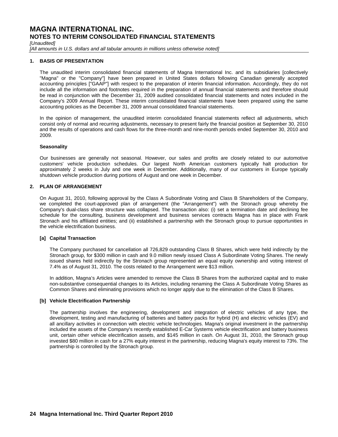*[Unaudited]* 

[All amounts in U.S. dollars and all tabular amounts in millions unless otherwise noted]

### **1. BASIS OF PRESENTATION**

The unaudited interim consolidated financial statements of Magna International Inc. and its subsidiaries [collectively "Magna" or the "Company"] have been prepared in United States dollars following Canadian generally accepted accounting principles ["GAAP"] with respect to the preparation of interim financial information. Accordingly, they do not include all the information and footnotes required in the preparation of annual financial statements and therefore should be read in conjunction with the December 31, 2009 audited consolidated financial statements and notes included in the Company's 2009 Annual Report. These interim consolidated financial statements have been prepared using the same accounting policies as the December 31, 2009 annual consolidated financial statements.

In the opinion of management, the unaudited interim consolidated financial statements reflect all adjustments, which consist only of normal and recurring adjustments, necessary to present fairly the financial position at September 30, 2010 and the results of operations and cash flows for the three-month and nine-month periods ended September 30, 2010 and 2009.

### **Seasonality**

Our businesses are generally not seasonal. However, our sales and profits are closely related to our automotive customers' vehicle production schedules. Our largest North American customers typically halt production for approximately 2 weeks in July and one week in December. Additionally, many of our customers in Europe typically shutdown vehicle production during portions of August and one week in December.

### **2. PLAN OF ARRANGEMENT**

On August 31, 2010, following approval by the Class A Subordinate Voting and Class B Shareholders of the Company, we completed the court-approved plan of arrangement (the "Arrangement") with the Stronach group whereby the Company's dual-class share structure was collapsed. The transaction also: (i) set a termination date and declining fee schedule for the consulting, business development and business services contracts Magna has in place with Frank Stronach and his affiliated entities; and (ii) established a partnership with the Stronach group to pursue opportunities in the vehicle electrification business.

### **[a] Capital Transaction**

The Company purchased for cancellation all 726,829 outstanding Class B Shares, which were held indirectly by the Stronach group, for \$300 million in cash and 9.0 million newly issued Class A Subordinate Voting Shares. The newly issued shares held indirectly by the Stronach group represented an equal equity ownership and voting interest of 7.4% as of August 31, 2010. The costs related to the Arrangement were \$13 million.

In addition, Magna's Articles were amended to remove the Class B Shares from the authorized capital and to make non-substantive consequential changes to its Articles, including renaming the Class A Subordinate Voting Shares as Common Shares and eliminating provisions which no longer apply due to the elimination of the Class B Shares.

### **[b] Vehicle Electrification Partnership**

The partnership involves the engineering, development and integration of electric vehicles of any type, the development, testing and manufacturing of batteries and battery packs for hybrid (H) and electric vehicles (EV) and all ancillary activities in connection with electric vehicle technologies. Magna's original investment in the partnership included the assets of the Company's recently established E-Car Systems vehicle electrification and battery business unit, certain other vehicle electrification assets, and \$145 million in cash. On August 31, 2010, the Stronach group invested \$80 million in cash for a 27% equity interest in the partnership, reducing Magna's equity interest to 73%. The partnership is controlled by the Stronach group.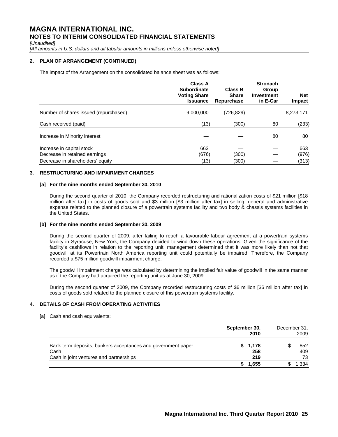*[Unaudited]* 

[All amounts in U.S. dollars and all tabular amounts in millions unless otherwise noted]

# **2. PLAN OF ARRANGEMENT (CONTINUED)**

The impact of the Arrangement on the consolidated balance sheet was as follows:

|                                                            | <b>Class A</b><br><b>Subordinate</b><br><b>Voting Share</b><br><b>Issuance</b> | <b>Class B</b><br><b>Share</b><br>Repurchase | <b>Stronach</b><br>Group<br><b>Investment</b><br>in E-Car | <b>Net</b><br>Impact |
|------------------------------------------------------------|--------------------------------------------------------------------------------|----------------------------------------------|-----------------------------------------------------------|----------------------|
| Number of shares issued (repurchased)                      | 9,000,000                                                                      | (726, 829)                                   |                                                           | 8,273,171            |
| Cash received (paid)                                       | (13)                                                                           | (300)                                        | 80                                                        | (233)                |
| Increase in Minority interest                              |                                                                                |                                              | 80                                                        | 80                   |
| Increase in capital stock<br>Decrease in retained earnings | 663<br>(676)                                                                   | (300)                                        |                                                           | 663<br>(976)         |
| Decrease in shareholders' equity                           | (13)                                                                           | (300)                                        |                                                           | (313)                |

# **3. RESTRUCTURING AND IMPAIRMENT CHARGES**

### **[a] For the nine months ended September 30, 2010**

During the second quarter of 2010, the Company recorded restructuring and rationalization costs of \$21 million [\$18 million after tax] in costs of goods sold and \$3 million [\$3 million after tax] in selling, general and administrative expense related to the planned closure of a powertrain systems facility and two body & chassis systems facilities in the United States.

### **[b] For the nine months ended September 30, 2009**

During the second quarter of 2009, after failing to reach a favourable labour agreement at a powertrain systems facility in Syracuse, New York, the Company decided to wind down these operations. Given the significance of the facility's cashflows in relation to the reporting unit, management determined that it was more likely than not that goodwill at its Powertrain North America reporting unit could potentially be impaired. Therefore, the Company recorded a \$75 million goodwill impairment charge.

The goodwill impairment charge was calculated by determining the implied fair value of goodwill in the same manner as if the Company had acquired the reporting unit as at June 30, 2009.

During the second quarter of 2009, the Company recorded restructuring costs of \$6 million [\$6 million after tax] in costs of goods sold related to the planned closure of this powertrain systems facility.

# **4. DETAILS OF CASH FROM OPERATING ACTIVITIES**

[a] Cash and cash equivalents:

|                                                                                                                 | September 30, | 2010                  | December 31, | 2009             |
|-----------------------------------------------------------------------------------------------------------------|---------------|-----------------------|--------------|------------------|
| Bank term deposits, bankers acceptances and government paper<br>Cash<br>Cash in joint ventures and partnerships |               | \$1,178<br>258<br>219 |              | 852<br>409<br>73 |
|                                                                                                                 |               | 1,655                 |              | .334             |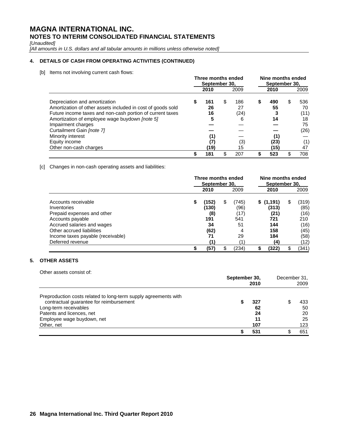*[Unaudited]* 

*[All amounts in U.S. dollars and all tabular amounts in millions unless otherwise noted]* 

# **4. DETAILS OF CASH FROM OPERATING ACTIVITIES (CONTINUED)**

[b] Items not involving current cash flows:

|                                                                                                                                                                                                                                                                                                                                | Three months ended<br>September 30, |                                            |    |                                     | Nine months ended<br>September 30. |                                        |    |                                                    |
|--------------------------------------------------------------------------------------------------------------------------------------------------------------------------------------------------------------------------------------------------------------------------------------------------------------------------------|-------------------------------------|--------------------------------------------|----|-------------------------------------|------------------------------------|----------------------------------------|----|----------------------------------------------------|
|                                                                                                                                                                                                                                                                                                                                |                                     | 2010                                       |    | 2009                                |                                    | 2010                                   |    | 2009                                               |
| Depreciation and amortization<br>Amortization of other assets included in cost of goods sold<br>Future income taxes and non-cash portion of current taxes<br>Amortization of employee wage buydown [note 5]<br>Impairment charges<br>Curtailment Gain [note 7]<br>Minority interest<br>Equity income<br>Other non-cash charges | 5                                   | 161<br>26<br>16<br>5<br>(1)<br>(7)<br>(19) | \$ | 186<br>27<br>(24)<br>6<br>(3)<br>15 | \$                                 | 490<br>55<br>14<br>(1)<br>(23)<br>(15) | \$ | 536<br>70<br>(11)<br>18<br>75<br>(26)<br>(1)<br>47 |
|                                                                                                                                                                                                                                                                                                                                |                                     | 181                                        | \$ | 207                                 |                                    | 523                                    |    | 708                                                |

[c] Changes in non-cash operating assets and liabilities:

|                                   | Three months ended<br>September 30, |       |    | Nine months ended<br>September 30, |    |           |   |       |
|-----------------------------------|-------------------------------------|-------|----|------------------------------------|----|-----------|---|-------|
|                                   |                                     | 2010  |    | 2009                               |    | 2010      |   | 2009  |
| Accounts receivable               | \$                                  | (152) | \$ | (745)                              |    | \$(1,191) | S | (319) |
| Inventories                       |                                     | (130) |    | (96)                               |    | (313)     |   | (85)  |
| Prepaid expenses and other        |                                     | (8)   |    | (17)                               |    | (21)      |   | (16)  |
| Accounts payable                  |                                     | 191   |    | 541                                |    | 721       |   | 210   |
| Accrued salaries and wages        |                                     | 34    |    | 51                                 |    | 144       |   | (16)  |
| Other accrued liabilities         |                                     | (62)  |    |                                    |    | 158       |   | (45)  |
| Income taxes payable (receivable) |                                     | 71    |    | 29                                 |    | 184       |   | (58)  |
| Deferred revenue                  |                                     |       |    |                                    |    | (4)       |   | (12)  |
|                                   | \$                                  | (57)  | \$ | (234)                              | \$ | (322)     |   | (341) |

# **5. OTHER ASSETS**

| Other assets consist of:                                                                                                                                                                                     | September 30,<br>2010        |  | December 31,<br>2009         |
|--------------------------------------------------------------------------------------------------------------------------------------------------------------------------------------------------------------|------------------------------|--|------------------------------|
| Preproduction costs related to long-term supply agreements with<br>contractual guarantee for reimbursement<br>Long-term receivables<br>Patents and licences, net<br>Employee wage buydown, net<br>Other, net | 327<br>62<br>24<br>11<br>107 |  | 433<br>50<br>20<br>25<br>123 |
|                                                                                                                                                                                                              | 531                          |  | 651                          |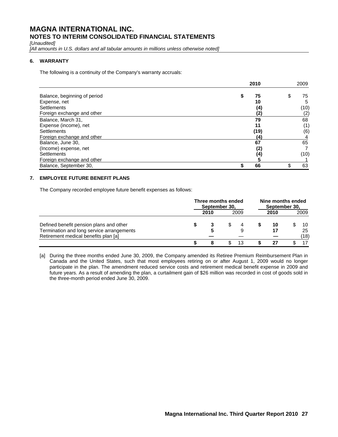*[Unaudited]* 

[All amounts in U.S. dollars and all tabular amounts in millions unless otherwise noted]

# **6. WARRANTY**

The following is a continuity of the Company's warranty accruals:

|                              | 2010     | 2009        |
|------------------------------|----------|-------------|
| Balance, beginning of period | 75<br>\$ | \$<br>75    |
| Expense, net                 | 10       | 5           |
| <b>Settlements</b>           |          | (4)<br>(10) |
| Foreign exchange and other   |          | (2)<br>(2)  |
| Balance, March 31,           | 79       | 68          |
| Expense (income), net        | 11       | (1)         |
| <b>Settlements</b>           | (19)     | (6)         |
| Foreign exchange and other   | (4)      |             |
| Balance, June 30,            | 67       | 65          |
| (Income) expense, net        |          | (2)         |
| <b>Settlements</b>           |          | (4)<br>(10) |
| Foreign exchange and other   |          | 5           |
| Balance, September 30,       | 66       | 63          |

# **7. EMPLOYEE FUTURE BENEFIT PLANS**

The Company recorded employee future benefit expenses as follows:

|                                                                                                                              | Three months ended<br>September 30, |      |  | Nine months ended<br>September 30, |      |  |                  |
|------------------------------------------------------------------------------------------------------------------------------|-------------------------------------|------|--|------------------------------------|------|--|------------------|
|                                                                                                                              |                                     | 2010 |  | 2009                               | 2010 |  | 2009             |
| Defined benefit pension plans and other<br>Termination and long service arrangements<br>Retirement medical benefits plan [a] |                                     |      |  |                                    | 10   |  | 10<br>25<br>(18) |
|                                                                                                                              |                                     |      |  |                                    |      |  |                  |

[a] During the three months ended June 30, 2009, the Company amended its Retiree Premium Reimbursement Plan in Canada and the United States, such that most employees retiring on or after August 1, 2009 would no longer participate in the plan. The amendment reduced service costs and retirement medical benefit expense in 2009 and future years. As a result of amending the plan, a curtailment gain of \$26 million was recorded in cost of goods sold in the three-month period ended June 30, 2009.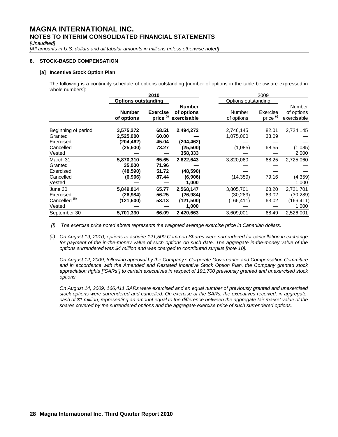*[Unaudited]* 

[All amounts in U.S. dollars and all tabular amounts in millions unless otherwise noted]

### **8. STOCK-BASED COMPENSATION**

### **[a] Incentive Stock Option Plan**

 The following is a continuity schedule of options outstanding [number of options in the table below are expressed in whole numbers]:

|                                                             | 2010<br>2009                         |                                         |                                               |                                      |                         |                                               |
|-------------------------------------------------------------|--------------------------------------|-----------------------------------------|-----------------------------------------------|--------------------------------------|-------------------------|-----------------------------------------------|
|                                                             | <b>Options outstanding</b>           |                                         |                                               | Options outstanding                  |                         |                                               |
|                                                             | <b>Number</b><br>of options          | <b>Exercise</b><br>price <sup>(i)</sup> | <b>Number</b><br>of options<br>exercisable    | Number<br>of options                 | Exercise<br>price (i)   | Number<br>of options<br>exercisable           |
| Beginning of period<br>Granted<br>Exercised                 | 3,575,272<br>2,525,000<br>(204,462)  | 68.51<br>60.00<br>45.04                 | 2,494,272<br>(204, 462)                       | 2,746,145<br>1,075,000               | 82.01<br>33.09          | 2,724,145                                     |
| Cancelled<br>Vested                                         | (25, 500)                            | 73.27                                   | (25,500)<br>358,333                           | (1,085)                              | 68.55                   | (1,085)<br>2,000                              |
| March 31<br>Granted                                         | 5,870,310<br>35,000                  | 65.65<br>71.96                          | 2,622,643                                     | 3,820,060                            | 68.25                   | 2,725,060                                     |
| Exercised<br>Cancelled<br>Vested                            | (48,590)<br>(6,906)                  | 51.72<br>87.44                          | (48, 590)<br>(6,906)<br>1,000                 | (14, 359)                            | 79.16                   | (4, 359)<br>1,000                             |
| June 30<br>Exercised<br>Cancelled <sup>(ii)</sup><br>Vested | 5,849,814<br>(26, 984)<br>(121, 500) | 65.77<br>56.25<br>53.13                 | 2,568,147<br>(26, 984)<br>(121, 500)<br>1,000 | 3,805,701<br>(30, 289)<br>(166, 411) | 68.20<br>63.02<br>63.02 | 2,721,701<br>(30, 289)<br>(166, 411)<br>1,000 |
| September 30                                                | 5,701,330                            | 66.09                                   | 2,420,663                                     | 3,609,001                            | 68.49                   | 2,526,001                                     |

 *(i) The exercise price noted above represents the weighted average exercise price in Canadian dollars.* 

*(ii) On August 19, 2010, options to acquire 121,500 Common Shares were surrendered for cancellation in exchange*  for payment of the in-the-money value of such options on such date. The aggregate in-the-money value of the *options surrendered was \$4 million and was charged to contributed surplus [note 10].* 

 *On August 12, 2009, following approval by the Company's Corporate Governance and Compensation Committee and in accordance with the Amended and Restated Incentive Stock Option Plan, the Company granted stock appreciation rights ["SARs"] to certain executives in respect of 191,700 previously granted and unexercised stock options.* 

*On August 14, 2009, 166,411 SARs were exercised and an equal number of previously granted and unexercised stock options were surrendered and cancelled. On exercise of the SARs, the executives received, in aggregate, cash of \$1 million, representing an amount equal to the difference between the aggregate fair market value of the shares covered by the surrendered options and the aggregate exercise price of such surrendered options.*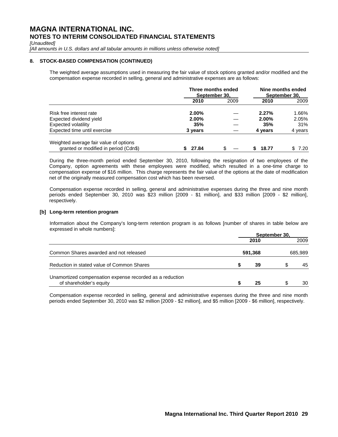*[Unaudited]* 

[All amounts in U.S. dollars and all tabular amounts in millions unless otherwise noted]

### **8. STOCK-BASED COMPENSATION (CONTINUED)**

The weighted average assumptions used in measuring the fair value of stock options granted and/or modified and the compensation expense recorded in selling, general and administrative expenses are as follows:

|                                        | Three months ended<br>September 30. |      |         | Nine months ended<br>September 30. |
|----------------------------------------|-------------------------------------|------|---------|------------------------------------|
|                                        | 2010                                | 2009 | 2010    | 2009                               |
| Risk free interest rate                | $2.00\%$                            |      | 2.27%   | 1.66%                              |
| Expected dividend yield                | $2.00\%$                            |      | 2.00%   | 2.05%                              |
| Expected volatility                    | 35%                                 |      | 35%     | 31%                                |
| Expected time until exercise           | 3 years                             |      | 4 years | 4 years                            |
| Weighted average fair value of options |                                     |      |         |                                    |
| granted or modified in period (Cdn\$)  | 27.84                               | \$.  | 18.77   | 7.20                               |

During the three-month period ended September 30, 2010, following the resignation of two employees of the Company, option agreements with these employees were modified, which resulted in a one-time charge to compensation expense of \$16 million. This charge represents the fair value of the options at the date of modification net of the originally measured compensation cost which has been reversed.

Compensation expense recorded in selling, general and administrative expenses during the three and nine month periods ended September 30, 2010 was \$23 million [2009 - \$1 million], and \$33 million [2009 - \$2 million], respectively.

### **[b] Long-term retention program**

Information about the Company's long-term retention program is as follows [number of shares in table below are expressed in whole numbers]:

|                                                                                     | September 30, |         |   |         |  |  |
|-------------------------------------------------------------------------------------|---------------|---------|---|---------|--|--|
|                                                                                     |               | 2010    |   | 2009    |  |  |
| Common Shares awarded and not released                                              |               | 591,368 |   | 685,989 |  |  |
| Reduction in stated value of Common Shares                                          |               | 39      | S | 45      |  |  |
| Unamortized compensation expense recorded as a reduction<br>of shareholder's equity |               | 25      | S | 30      |  |  |

Compensation expense recorded in selling, general and administrative expenses during the three and nine month periods ended September 30, 2010 was \$2 million [2009 - \$2 million], and \$5 million [2009 - \$6 million], respectively.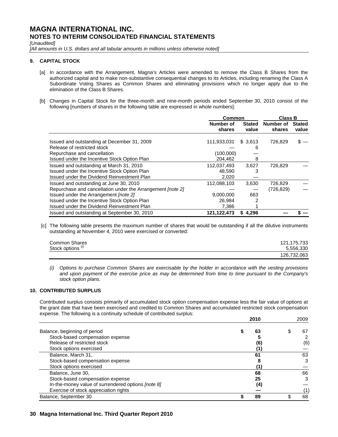*[Unaudited]* 

[All amounts in U.S. dollars and all tabular amounts in millions unless otherwise noted]

# **9. CAPITAL STOCK**

- [a] In accordance with the Arrangement, Magna's Articles were amended to remove the Class B Shares from the authorized capital and to make non-substantive consequential changes to its Articles, including renaming the Class A Subordinate Voting Shares as Common Shares and eliminating provisions which no longer apply due to the elimination of the Class B Shares.
- [b] Changes in Capital Stock for the three-month and nine-month periods ended September 30, 2010 consist of the following [numbers of shares in the following table are expressed in whole numbers]:

|                                                                   | Common              |                        | <b>Class B</b>             |                        |  |
|-------------------------------------------------------------------|---------------------|------------------------|----------------------------|------------------------|--|
|                                                                   | Number of<br>shares | <b>Stated</b><br>value | <b>Number of</b><br>shares | <b>Stated</b><br>value |  |
| Issued and outstanding at December 31, 2009                       | 111,933,031         | \$3,613                | 726,829                    | \$                     |  |
| Release of restricted stock                                       |                     | 6                      |                            |                        |  |
| Repurchase and cancellation                                       | (100,000)           |                        |                            |                        |  |
| Issued under the Incentive Stock Option Plan                      | 204,462             | 8                      |                            |                        |  |
| Issued and outstanding at March 31, 2010                          | 112.037.493         | 3.627                  | 726.829                    |                        |  |
| Issued under the Incentive Stock Option Plan                      | 48.590              |                        |                            |                        |  |
| Issued under the Dividend Reinvestment Plan                       | 2,020               |                        |                            |                        |  |
| Issued and outstanding at June 30, 2010                           | 112,088,103         | 3,630                  | 726,829                    |                        |  |
| Repurchase and cancellation under the Arrangement <i>[note 2]</i> |                     |                        | (726, 829)                 |                        |  |
| Issued under the Arrangement [note 2]                             | 9.000.000           | 663                    |                            |                        |  |
| Issued under the Incentive Stock Option Plan                      | 26,984              |                        |                            |                        |  |
| Issued under the Dividend Reinvestment Plan                       | 7,386               |                        |                            |                        |  |
| Issued and outstanding at September 30, 2010                      | 121, 122, 473       | 4.296<br>S             |                            |                        |  |

 [c] The following table presents the maximum number of shares that would be outstanding if all the dilutive instruments outstanding at November 4, 2010 were exercised or converted:

| Common Shares                | 121, 175, 733 |
|------------------------------|---------------|
| Stock options <sup>(i)</sup> | 5.556.330     |
|                              | 126,732,063   |

*(i) Options to purchase Common Shares are exercisable by the holder in accordance with the vesting provisions and upon payment of the exercise price as may be determined from time to time pursuant to the Company's stock option plans.* 

# **10. CONTRIBUTED SURPLUS**

Contributed surplus consists primarily of accumulated stock option compensation expense less the fair value of options at the grant date that have been exercised and credited to Common Shares and accumulated restricted stock compensation expense. The following is a continuity schedule of contributed surplus:

|                                                    | 2010 |  | 2009 |  |
|----------------------------------------------------|------|--|------|--|
| Balance, beginning of period                       | 63   |  | 67   |  |
| Stock-based compensation expense                   |      |  |      |  |
| Release of restricted stock                        | (6)  |  | (6)  |  |
| Stock options exercised                            | (1,  |  |      |  |
| Balance, March 31,                                 | 61   |  | 63   |  |
| Stock-based compensation expense                   |      |  |      |  |
| Stock options exercised                            |      |  |      |  |
| Balance, June 30,                                  | 68   |  | 66   |  |
| Stock-based compensation expense                   | 25   |  |      |  |
| In-the-money value of surrendered options [note 8] | (4)  |  |      |  |
| Exercise of stock appreciation rights              |      |  |      |  |
| Balance, September 30                              | 89   |  | 68   |  |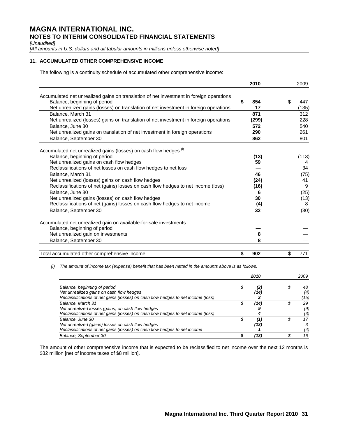*[Unaudited]* 

*[All amounts in U.S. dollars and all tabular amounts in millions unless otherwise noted]* 

# **11. ACCUMULATED OTHER COMPREHENSIVE INCOME**

The following is a continuity schedule of accumulated other comprehensive income:

|                                                                                         | 2010      | 2009      |
|-----------------------------------------------------------------------------------------|-----------|-----------|
|                                                                                         |           |           |
| Accumulated net unrealized gains on translation of net investment in foreign operations |           |           |
| Balance, beginning of period                                                            | \$<br>854 | \$<br>447 |
| Net unrealized gains (losses) on translation of net investment in foreign operations    | 17        | (135)     |
| Balance, March 31                                                                       | 871       | 312       |
| Net unrealized (losses) gains on translation of net investment in foreign operations    | (299)     | 228       |
| Balance, June 30                                                                        | 572       | 540       |
| Net unrealized gains on translation of net investment in foreign operations             | 290       | 261       |
| Balance, September 30                                                                   | 862       | 801       |
| Accumulated net unrealized gains (losses) on cash flow hedges (i)                       |           |           |
| Balance, beginning of period                                                            | (13)      | (113)     |
| Net unrealized gains on cash flow hedges                                                | 59        | 4         |
| Reclassifications of net losses on cash flow hedges to net loss                         |           | 34        |
| Balance, March 31                                                                       | 46        | (75)      |
| Net unrealized (losses) gains on cash flow hedges                                       | (24)      | 41        |
| Reclassifications of net (gains) losses on cash flow hedges to net income (loss)        | (16)      | 9         |
| Balance, June 30                                                                        | 6         | (25)      |
| Net unrealized gains (losses) on cash flow hedges                                       | 30        | (13)      |
| Reclassifications of net (gains) losses on cash flow hedges to net income               | (4)       | 8         |
| Balance, September 30                                                                   | 32        | (30)      |
| Accumulated net unrealized gain on available-for-sale investments                       |           |           |
| Balance, beginning of period                                                            |           |           |
| Net unrealized gain on investments                                                      | 8         |           |
| Balance, September 30                                                                   | 8         |           |
|                                                                                         |           |           |
| Total accumulated other comprehensive income                                            | \$<br>902 | \$<br>771 |

 *(i) The amount of income tax (expense) benefit that has been netted in the amounts above is as follows:* 

|                                                                                  |  | 2010 | 2009      |
|----------------------------------------------------------------------------------|--|------|-----------|
| Balance, beginning of period<br>Net unrealized gains on cash flow hedges         |  | '14) | 48<br>(4) |
| Reclassifications of net gains (losses) on cash flow hedges to net income (loss) |  |      | (15)      |
| Balance, March 31                                                                |  | '14) | 29        |
| Net unrealized losses (gains) on cash flow hedges                                |  |      | (9)       |
| Reclassifications of net gains (losses) on cash flow hedges to net income (loss) |  |      | ΄3        |
| Balance, June 30                                                                 |  | (1)  | 17        |
| Net unrealized (gains) losses on cash flow hedges                                |  | (13) |           |
| Reclassifications of net gains (losses) on cash flow hedges to net income        |  |      | (4)       |
| Balance, September 30                                                            |  | '131 | 16        |

The amount of other comprehensive income that is expected to be reclassified to net income over the next 12 months is \$32 million [net of income taxes of \$8 million].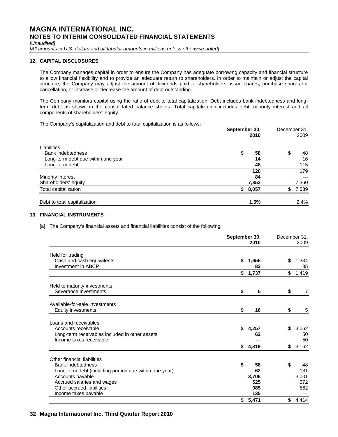*[Unaudited]* 

*[All amounts in U.S. dollars and all tabular amounts in millions unless otherwise noted]* 

# **12. CAPITAL DISCLOSURES**

The Company manages capital in order to ensure the Company has adequate borrowing capacity and financial structure to allow financial flexibility and to provide an adequate return to shareholders. In order to maintain or adjust the capital structure, the Company may adjust the amount of dividends paid to shareholders, issue shares, purchase shares for cancellation, or increase or decrease the amount of debt outstanding.

The Company monitors capital using the ratio of debt to total capitalization. Debt includes bank indebtedness and longterm debt as shown in the consolidated balance sheets. Total capitalization includes debt, minority interest and all components of shareholders' equity.

The Company's capitalization and debt to total capitalization is as follows:

|                                    | September 30,<br>2010 | December 31.<br>2009 |
|------------------------------------|-----------------------|----------------------|
| Liabilities                        |                       |                      |
| <b>Bank indebtedness</b>           | 58<br>\$              | \$<br>48             |
| Long-term debt due within one year | 14                    | 16                   |
| Long-term debt                     | 48                    | 115                  |
|                                    | 120                   | 179                  |
| Minority interest                  | 84                    |                      |
| Shareholders' equity               | 7,853                 | 7,360                |
| Total capitalization               | 8,057<br>\$           | 7,539<br>\$          |
| Debt to total capitalization       | 1.5%                  | 2.4%                 |

# **13. FINANCIAL INSTRUMENTS**

[a] The Company's financial assets and financial liabilities consist of the following:

|                                                                           | September 30, | 2010        | December 31, | 2009           |
|---------------------------------------------------------------------------|---------------|-------------|--------------|----------------|
| Held for trading                                                          |               |             |              |                |
| Cash and cash equivalents<br><b>Investment in ABCP</b>                    | \$            | 1,655<br>82 | \$           | 1,334<br>85    |
|                                                                           | \$            | 1,737       | \$           | 1,419          |
| Held to maturity investments<br>Severance investments                     | \$            | 5           | \$           | $\overline{7}$ |
| Available-for-sale investments                                            |               |             |              |                |
| Equity investments                                                        | \$            | 16          | \$           | 5              |
| Loans and receivables                                                     |               |             |              |                |
| Accounts receivable                                                       | \$            | 4,257       | \$           | 3,062          |
| Long-term receivables included in other assets<br>Income taxes receivable |               | 62          |              | 50<br>50       |
|                                                                           |               | \$4,319     |              | \$3,162        |
| Other financial liabilities                                               |               |             |              |                |
| <b>Bank indebtedness</b>                                                  | \$            | 58          | \$           | 48             |
| Long-term debt (including portion due within one year)                    |               | 62          |              | 131            |
| Accounts payable                                                          |               | 3,706       |              | 3,001          |
| Accrued salaries and wages                                                |               | 525         |              | 372            |
| Other accrued liabilities                                                 |               | 985<br>135  |              | 862            |
| Income taxes payable                                                      |               | \$5,471     | \$           | 4,414          |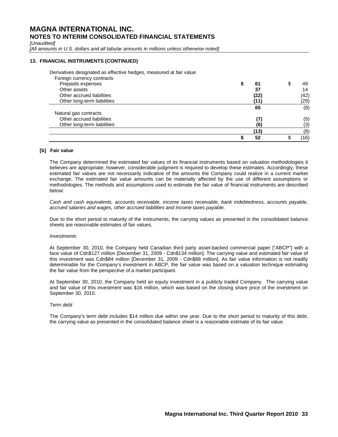*[Unaudited]* 

[All amounts in U.S. dollars and all tabular amounts in millions unless otherwise noted]

### **13. FINANCIAL INSTRUMENTS (CONTINUED)**

Derivatives designated as effective hedges, measured at fair value

| Foreign currency contracts  |      |          |
|-----------------------------|------|----------|
| Prepaids expenses           | 61   | \$<br>49 |
| Other assets                | 37   | 14       |
| Other accrued liabilities   | (22) | (42)     |
| Other long-term liabilities | (11) | (29)     |
|                             | 65   | (8)      |
| Natural gas contracts       |      |          |
| Other accrued liabilities   | (7)  | (5)      |
| Other long-term liabilities | (6)  | (3)      |
|                             | (13) | (8)      |
|                             | 52   | (16)     |

# **[b] Fair value**

The Company determined the estimated fair values of its financial instruments based on valuation methodologies it believes are appropriate; however, considerable judgment is required to develop these estimates. Accordingly, these estimated fair values are not necessarily indicative of the amounts the Company could realize in a current market exchange. The estimated fair value amounts can be materially affected by the use of different assumptions or methodologies. The methods and assumptions used to estimate the fair value of financial instruments are described below:

*Cash and cash equivalents, accounts receivable, income taxes receivable, bank indebtedness, accounts payable, accrued salaries and wages, other accrued liabilities and income taxes payable.* 

Due to the short period to maturity of the instruments, the carrying values as presented in the consolidated balance sheets are reasonable estimates of fair values.

### *Investments*

At September 30, 2010, the Company held Canadian third party asset-backed commercial paper ["ABCP"] with a face value of Cdn\$127 million [December 31, 2009 - Cdn\$134 million]. The carrying value and estimated fair value of this investment was Cdn\$84 million [December 31, 2009 - Cdn\$88 million]. As fair value information is not readily determinable for the Company's investment in ABCP, the fair value was based on a valuation technique estimating the fair value from the perspective of a market participant.

At September 30, 2010, the Company held an equity investment in a publicly traded Company. The carrying value and fair value of this investment was \$16 million, which was based on the closing share price of the investment on September 30, 2010.

### *Term debt*

The Company's term debt includes \$14 million due within one year. Due to the short period to maturity of this debt, the carrying value as presented in the consolidated balance sheet is a reasonable estimate of its fair value.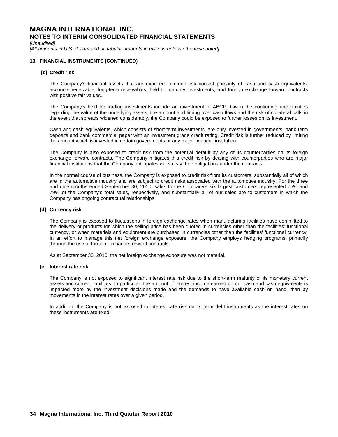*[Unaudited]* 

[All amounts in U.S. dollars and all tabular amounts in millions unless otherwise noted]

# **13. FINANCIAL INSTRUMENTS (CONTINUED)**

### **[c] Credit risk**

The Company's financial assets that are exposed to credit risk consist primarily of cash and cash equivalents, accounts receivable, long-term receivables, held to maturity investments, and foreign exchange forward contracts with positive fair values.

The Company's held for trading investments include an investment in ABCP. Given the continuing uncertainties regarding the value of the underlying assets, the amount and timing over cash flows and the risk of collateral calls in the event that spreads widened considerably, the Company could be exposed to further losses on its investment.

Cash and cash equivalents, which consists of short-term investments, are only invested in governments, bank term deposits and bank commercial paper with an investment grade credit rating. Credit risk is further reduced by limiting the amount which is invested in certain governments or any major financial institution.

The Company is also exposed to credit risk from the potential default by any of its counterparties on its foreign exchange forward contracts. The Company mitigates this credit risk by dealing with counterparties who are major financial institutions that the Company anticipates will satisfy their obligations under the contracts.

In the normal course of business, the Company is exposed to credit risk from its customers, substantially all of which are in the automotive industry and are subject to credit risks associated with the automotive industry. For the three and nine months ended September 30, 2010, sales to the Company's six largest customers represented 75% and 79% of the Company's total sales, respectively, and substantially all of our sales are to customers in which the Company has ongoing contractual relationships.

### **[d] Currency risk**

The Company is exposed to fluctuations in foreign exchange rates when manufacturing facilities have committed to the delivery of products for which the selling price has been quoted in currencies other than the facilities' functional currency, or when materials and equipment are purchased in currencies other than the facilities' functional currency. In an effort to manage this net foreign exchange exposure, the Company employs hedging programs, primarily through the use of foreign exchange forward contracts.

As at September 30, 2010, the net foreign exchange exposure was not material.

### **[e] Interest rate risk**

The Company is not exposed to significant interest rate risk due to the short-term maturity of its monetary current assets and current liabilities. In particular, the amount of interest income earned on our cash and cash equivalents is impacted more by the investment decisions made and the demands to have available cash on hand, than by movements in the interest rates over a given period.

In addition, the Company is not exposed to interest rate risk on its term debt instruments as the interest rates on these instruments are fixed.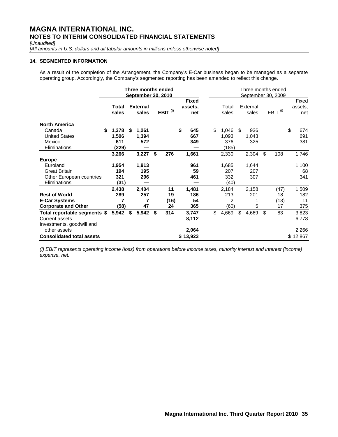*[Unaudited]* 

*[All amounts in U.S. dollars and all tabular amounts in millions unless otherwise noted]* 

### **14. SEGMENTED INFORMATION**

As a result of the completion of the Arrangement, the Company's E-Car business began to be managed as a separate operating group. Accordingly, the Company's segmented reporting has been amended to reflect this change.

|                                                                                    | Three months ended<br><b>September 30, 2010</b> |    |                          |    |                     |    |                                |  |    |                                |                           | Three months ended<br>September 30, 2009 |                         |
|------------------------------------------------------------------------------------|-------------------------------------------------|----|--------------------------|----|---------------------|----|--------------------------------|--|----|--------------------------------|---------------------------|------------------------------------------|-------------------------|
|                                                                                    | Total<br>sales                                  |    | <b>External</b><br>sales |    | EBIT <sup>(i)</sup> |    | <b>Fixed</b><br>assets.<br>net |  |    | Total<br>sales                 | External<br>sales         | EBIT <sup>(i)</sup>                      | Fixed<br>assets,<br>net |
| <b>North America</b>                                                               |                                                 |    |                          |    |                     |    |                                |  |    |                                |                           |                                          |                         |
| Canada<br><b>United States</b><br>Mexico<br>Eliminations                           | \$<br>1,378<br>1,506<br>611<br>(229)            | \$ | 1,261<br>1,394<br>572    |    |                     | \$ | 645<br>667<br>349              |  | \$ | 1,046<br>1,093<br>376<br>(185) | \$<br>936<br>1,043<br>325 |                                          | \$<br>674<br>691<br>381 |
|                                                                                    | 3,266                                           |    | 3,227                    | \$ | 276                 |    | 1,661                          |  |    | 2,330                          | 2,304                     | \$<br>108                                | 1,746                   |
| <b>Europe</b>                                                                      |                                                 |    |                          |    |                     |    |                                |  |    |                                |                           |                                          |                         |
| Euroland                                                                           | 1,954                                           |    | 1,913                    |    |                     |    | 961                            |  |    | 1,685                          | 1,644                     |                                          | 1,100                   |
| <b>Great Britain</b>                                                               | 194                                             |    | 195                      |    |                     |    | 59                             |  |    | 207                            | 207                       |                                          | 68                      |
| Other European countries                                                           | 321                                             |    | 296                      |    |                     |    | 461                            |  |    | 332                            | 307                       |                                          | 341                     |
| Eliminations                                                                       | (31)                                            |    |                          |    |                     |    |                                |  |    | (40)                           |                           |                                          |                         |
|                                                                                    | 2,438                                           |    | 2,404                    |    | 11                  |    | 1,481                          |  |    | 2,184                          | 2,158                     | (47)                                     | 1,509                   |
| <b>Rest of World</b>                                                               | 289                                             |    | 257                      |    | 19                  |    | 186                            |  |    | 213                            | 201                       | 18                                       | 182                     |
| <b>E-Car Systems</b>                                                               |                                                 |    | 7                        |    | (16)                |    | 54                             |  |    | 2                              |                           | (13)                                     | 11                      |
| <b>Corporate and Other</b>                                                         | (58)                                            |    | 47                       |    | 24                  |    | 365                            |  |    | (60)                           | 5                         | 17                                       | 375                     |
| Total reportable segments \$<br><b>Current assets</b><br>Investments, goodwill and | 5,942                                           | \$ | 5,942                    | \$ | 314                 |    | 3,747<br>8,112                 |  | \$ | 4,669                          | \$<br>4,669               | \$<br>83                                 | 3,823<br>6,778          |
| other assets                                                                       |                                                 |    |                          |    |                     |    | 2,064                          |  |    |                                |                           |                                          | 2,266                   |
| <b>Consolidated total assets</b>                                                   |                                                 |    |                          |    |                     |    | \$13,923                       |  |    |                                |                           |                                          | \$12,867                |

*(i) EBIT represents operating income (loss) from operations before income taxes, minority interest and interest (income) expense, net.*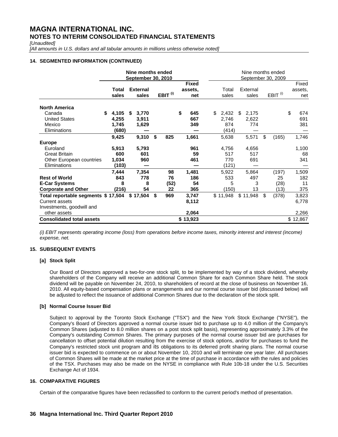*[Unaudited]* 

[All amounts in U.S. dollars and all tabular amounts in millions unless otherwise noted]

# **14. SEGMENTED INFORMATION (CONTINUED)**

|                                                                                                           |                                       | Nine months ended<br><b>September 30, 2010</b> |                          |    |                        |    | Nine months ended<br>September 30, 2009 |                                      |                             |    |                             |    |                           |
|-----------------------------------------------------------------------------------------------------------|---------------------------------------|------------------------------------------------|--------------------------|----|------------------------|----|-----------------------------------------|--------------------------------------|-----------------------------|----|-----------------------------|----|---------------------------|
|                                                                                                           | Total<br>sales                        |                                                | <b>External</b><br>sales |    | EBIT $^{(i)}$          |    | <b>Fixed</b><br>assets.<br>net          | Total<br>sales                       | External<br>sales           |    | EBIT <sup>(i)</sup>         |    | Fixed<br>assets,<br>net   |
| <b>North America</b>                                                                                      |                                       |                                                |                          |    |                        |    |                                         |                                      |                             |    |                             |    |                           |
| Canada<br><b>United States</b><br>Mexico<br>Eliminations                                                  | 4,105<br>S<br>4,255<br>1,745<br>(680) | S                                              | 3,770<br>3,911<br>1,629  |    |                        | \$ | 645<br>667<br>349                       | \$<br>2,432<br>2,746<br>874<br>(414) | \$<br>2,175<br>2,622<br>774 |    |                             | \$ | 674<br>691<br>381         |
|                                                                                                           | 9,425                                 |                                                | 9,310                    | \$ | 825                    |    | 1,661                                   | 5,638                                | 5,571                       | \$ | (165)                       |    | 1,746                     |
| <b>Europe</b><br>Euroland<br><b>Great Britain</b><br>Other European countries<br>Eliminations             | 5,913<br>600<br>1,034<br>(103)        |                                                | 5,793<br>601<br>960      |    |                        |    | 961<br>59<br>461                        | 4,756<br>517<br>770<br>(121)         | 4,656<br>517<br>691         |    |                             |    | 1,100<br>68<br>341        |
| <b>Rest of World</b><br><b>E-Car Systems</b><br><b>Corporate and Other</b>                                | 7,444<br>843<br>8<br>(216)            |                                                | 7,354<br>778<br>8<br>54  |    | 98<br>76<br>(52)<br>22 |    | 1,481<br>186<br>54<br>365               | 5,922<br>533<br>5<br>(150)           | 5,864<br>497<br>3<br>13     |    | (197)<br>25<br>(28)<br>(13) |    | 1,509<br>182<br>11<br>375 |
| Total reportable segments \$ 17,504<br><b>Current assets</b><br>Investments, goodwill and<br>other assets |                                       |                                                | \$17,504                 | \$ | 969                    |    | 3,747<br>8,112<br>2,064                 | \$11,948                             | \$11,948                    | \$ | (378)                       |    | 3,823<br>6,778<br>2,266   |
| <b>Consolidated total assets</b>                                                                          |                                       |                                                |                          |    |                        |    | \$13,923                                |                                      |                             |    |                             |    | \$12,867                  |

*(i) EBIT represents operating income (loss) from operations before income taxes, minority interest and interest (income) expense, net.* 

# **15. SUBSEQUENT EVENTS**

### **[a] Stock Split**

Our Board of Directors approved a two-for-one stock split, to be implemented by way of a stock dividend, whereby shareholders of the Company will receive an additional Common Share for each Common Share held. The stock dividend will be payable on November 24, 2010, to shareholders of record at the close of business on November 16, 2010. All equity-based compensation plans or arrangements and our normal course issuer bid (discussed below) will be adjusted to reflect the issuance of additional Common Shares due to the declaration of the stock split.

### **[b] Normal Course Issuer Bid**

Subject to approval by the Toronto Stock Exchange ("TSX") and the New York Stock Exchange ("NYSE"), the Company's Board of Directors approved a normal course issuer bid to purchase up to 4.0 million of the Company's Common Shares (adjusted to 8.0 million shares on a post stock split basis), representing approximately 3.3% of the Company's outstanding Common Shares. The primary purposes of the normal course issuer bid are purchases for cancellation to offset potential dilution resulting from the exercise of stock options, and/or for purchases to fund the Company's restricted stock unit program and its obligations to its deferred profit sharing plans. The normal course issuer bid is expected to commence on or about November 10, 2010 and will terminate one year later. All purchases of Common Shares will be made at the market price at the time of purchase in accordance with the rules and policies of the TSX. Purchases may also be made on the NYSE in compliance with Rule 10b-18 under the U.S. Securities Exchange Act of 1934.

### **16. COMPARATIVE FIGURES**

Certain of the comparative figures have been reclassified to conform to the current period's method of presentation.

# **36 Magna International Inc. Third Quarter Report 2010**